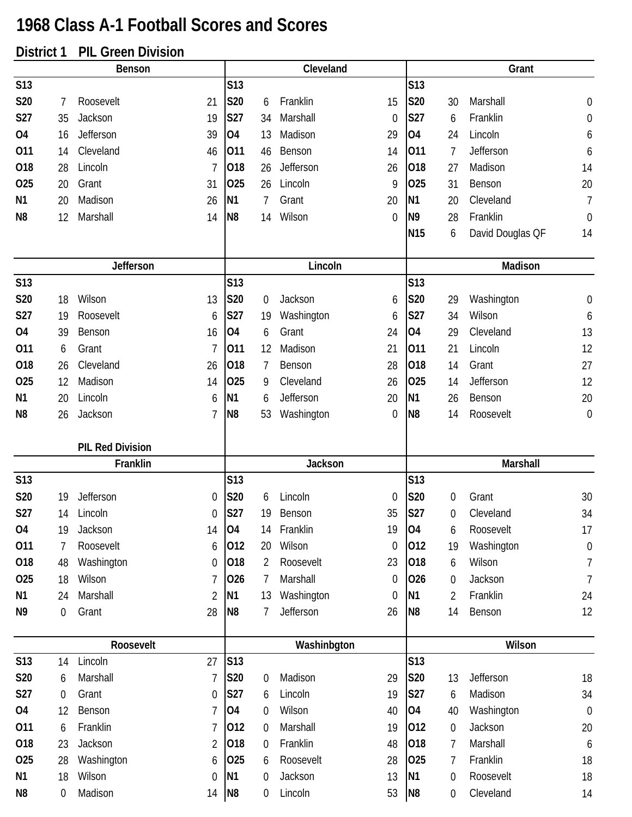## **1968 Class A-1 Football Scores and Scores**

## **District 1 PIL Green Division**

| וטנו שנ        |                  | וט שו ו<br>ווטוטויוט ווטט |    |                |                  |                  |                  |                |                  |                  |                  |
|----------------|------------------|---------------------------|----|----------------|------------------|------------------|------------------|----------------|------------------|------------------|------------------|
|                |                  | <b>Benson</b>             |    |                |                  | Cleveland        |                  |                |                  | Grant            |                  |
| <b>S13</b>     |                  |                           |    | <b>S13</b>     |                  |                  |                  | S13            |                  |                  |                  |
| <b>S20</b>     | 7                | Roosevelt                 | 21 | S20            | 6                | Franklin         | 15               | S20            | 30               | Marshall         | 0                |
| S27            | 35               | Jackson                   | 19 | <b>S27</b>     | 34               | Marshall         | $\mathbf 0$      | <b>S27</b>     | 6                | Franklin         | $\boldsymbol{0}$ |
| <b>O4</b>      | 16               | Jefferson                 | 39 | <b>O4</b>      | 13               | Madison          | 29               | <b>O4</b>      | 24               | Lincoln          | 6                |
| 011            | 14               | Cleveland                 | 46 | 011            | 46               | Benson           | 14               | 011            | $\overline{7}$   | Jefferson        | 6                |
| 018            | 28               | Lincoln                   | 7  | 018            | 26               | Jefferson        | 26               | 018            | 27               | Madison          | 14               |
| 025            | 20               | Grant                     | 31 | 025            | 26               | Lincoln          | 9                | 025            | 31               | Benson           | 20               |
| N <sub>1</sub> | 20               | Madison                   | 26 | N <sub>1</sub> | 7                | Grant            | 20               | N <sub>1</sub> | 20               | Cleveland        | $\overline{I}$   |
| N <sub>8</sub> | 12               | Marshall                  | 14 | N <sub>8</sub> | 14               | Wilson           | $\theta$         | N <sub>9</sub> | 28               | Franklin         | $\mathbf 0$      |
|                |                  |                           |    |                |                  |                  |                  | <b>N15</b>     | 6                | David Douglas QF | 14               |
|                |                  | <b>Jefferson</b>          |    |                |                  | Lincoln          |                  |                |                  | Madison          |                  |
| <b>S13</b>     |                  |                           |    | S13            |                  |                  |                  | <b>S13</b>     |                  |                  |                  |
| S20            | 18               | Wilson                    | 13 | S20            | 0                | Jackson          | 6                | <b>S20</b>     | 29               | Washington       | $\boldsymbol{0}$ |
| <b>S27</b>     | 19               | Roosevelt                 | 6  | S27            | 19               | Washington       | 6                | <b>S27</b>     | 34               | Wilson           | 6                |
| 04             | 39               | Benson                    | 16 | 04             | 6                | Grant            | 24               | <b>O4</b>      | 29               | Cleveland        | 13               |
| 011            | 6                | Grant                     | 7  | 011            | 12               | Madison          | 21               | 011            | 21               | Lincoln          | 12               |
| 018            | 26               | Cleveland                 | 26 | 018            | 7                | Benson           | 28               | 018            | 14               | Grant            | 27               |
| 025            | 12               | Madison                   | 14 | 025            | 9                | Cleveland        | 26               | 025            | 14               | Jefferson        | 12               |
| N <sub>1</sub> | 20               | Lincoln                   | 6  | N <sub>1</sub> | 6                | <b>Jefferson</b> | 20               | N <sub>1</sub> | 26               | Benson           | 20               |
| N <sub>8</sub> | 26               | Jackson                   | 7  | N <sub>8</sub> | 53               | Washington       | 0                | N <sub>8</sub> | 14               | Roosevelt        | $\mathbf 0$      |
|                |                  | <b>PIL Red Division</b>   |    |                |                  |                  |                  |                |                  |                  |                  |
|                |                  | Franklin                  |    |                |                  | Jackson          |                  |                |                  | Marshall         |                  |
| <b>S13</b>     |                  |                           |    | S13            |                  |                  |                  | <b>S13</b>     |                  |                  |                  |
| <b>S20</b>     | 19               | Jefferson                 | 0  | S20            | 6                | Lincoln          | 0                | S20            | 0                | Grant            | 30               |
| S27            | 14               | Lincoln                   | 0  | <b>S27</b>     | 19               | Benson           | 35               | S27            | 0                | Cleveland        | 34               |
| 04             | 19               | Jackson                   | 14 | 04             | 14               | Franklin         | 19               | <b>O4</b>      | 6                | Roosevelt        | 17               |
| 011            | 7                | Roosevelt                 | 6  | 012            | 20               | Wilson           | $\boldsymbol{0}$ | 012            | 19               | Washington       | $\boldsymbol{0}$ |
| 018            | 48               | Washington                | 0  | 018            | 2                | Roosevelt        | 23               | 018            | 6                | Wilson           | $\overline{1}$   |
| 025            | 18               | Wilson                    | 7  | 026            | $\overline{1}$   | Marshall         | 0                | 026            | $\boldsymbol{0}$ | Jackson          | $\overline{7}$   |
| N1             | 24               | Marshall                  | 2  | N <sub>1</sub> | 13               | Washington       | 0                | N <sub>1</sub> | $\overline{2}$   | Franklin         | 24               |
| N <sub>9</sub> | $\mathbf 0$      | Grant                     | 28 | N <sub>8</sub> | 7                | Jefferson        | 26               | N <sub>8</sub> | 14               | Benson           | 12               |
|                |                  | Roosevelt                 |    |                |                  | Washinbgton      |                  |                |                  | Wilson           |                  |
| S13            | 14               | Lincoln                   | 27 | S13            |                  |                  |                  | S13            |                  |                  |                  |
| <b>S20</b>     | 6                | Marshall                  | 7  | <b>S20</b>     | $\boldsymbol{0}$ | Madison          | 29               | <b>S20</b>     | 13               | Jefferson        | 18               |
| S27            | $\boldsymbol{0}$ | Grant                     | 0  | S27            | 6                | Lincoln          | 19               | <b>S27</b>     | 6                | Madison          | 34               |
| <b>O4</b>      | 12               | Benson                    | 7  | 04             | 0                | Wilson           | 40               | <b>O4</b>      | 40               | Washington       | $\mathbf 0$      |
| 011            | 6                | Franklin                  | 7  | 012            | $\mathbf 0$      | Marshall         | 19               | 012            | $\mathbf 0$      | Jackson          | 20               |
| 018            | 23               | Jackson                   | 2  | 018            | $\mathbf 0$      | Franklin         | 48               | 018            | $\overline{1}$   | Marshall         | 6                |
| 025            | 28               | Washington                | 6  | 025            | 6                | Roosevelt        | 28               | 025            | 7                | Franklin         | 18               |
| N <sub>1</sub> | 18               | Wilson                    | 0  | N <sub>1</sub> | $\mathbf 0$      | Jackson          | 13               | N <sub>1</sub> | $\boldsymbol{0}$ | Roosevelt        | 18               |
| N8             | $\boldsymbol{0}$ | Madison                   | 14 | N <sub>8</sub> | $\mathbf 0$      | Lincoln          | 53               | N <sub>8</sub> | $\boldsymbol{0}$ | Cleveland        | 14               |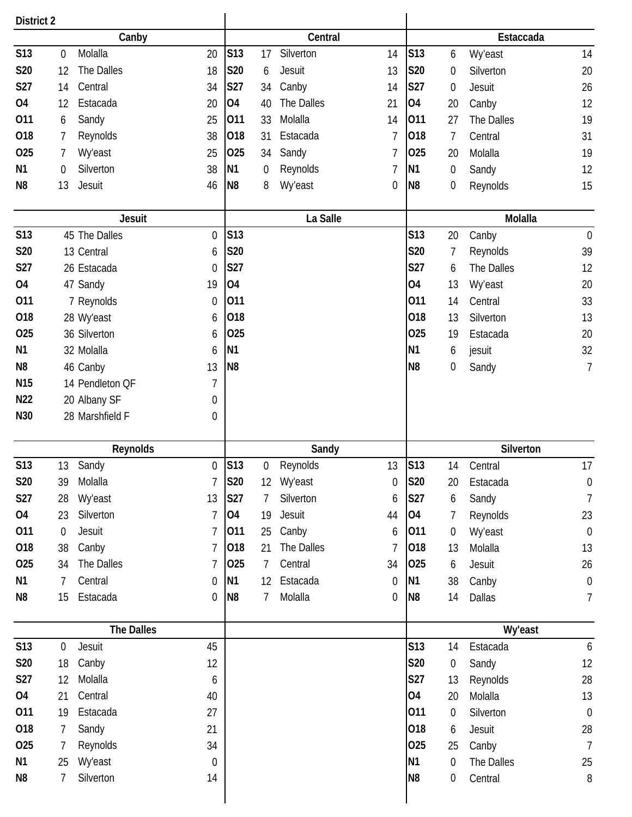| <b>District 2</b> |                  |                   |                  |                |                  |                |    |                |                  |            |                  |
|-------------------|------------------|-------------------|------------------|----------------|------------------|----------------|----|----------------|------------------|------------|------------------|
|                   |                  | Canby             |                  |                |                  | Central        |    |                |                  | Estaccada  |                  |
| S13               | $\mathbf 0$      | Molalla           | 20               | S13            | 17               | Silverton      | 14 | S13            | 6                | Wy'east    | 14               |
| <b>S20</b>        | 12               | The Dalles        | 18               | S20            | 6                | Jesuit         | 13 | S20            | $\boldsymbol{0}$ | Silverton  | 20               |
| S27               | 14               | Central           | 34               | <b>S27</b>     | 34               | Canby          | 14 | <b>S27</b>     | $\boldsymbol{0}$ | Jesuit     | 26               |
| <b>04</b>         | 12               | Estacada          | 20               | <b>O4</b>      | 40               | The Dalles     | 21 | <b>O4</b>      | 20               | Canby      | 12               |
| 011               | 6                | Sandy             | 25               | 011            | 33               | Molalla        | 14 | 011            | 27               | The Dalles | 19               |
| 018               | 7                | Reynolds          | 38               | 018            | 31               | Estacada       | 7  | 018            | 7                | Central    | 31               |
| 025               | 7                | <b>Wy'east</b>    | 25               | 025            | 34               | Sandy          | 7  | 025            | 20               | Molalla    | 19               |
| N <sub>1</sub>    | 0                | Silverton         | 38               | <b>N1</b>      | $\boldsymbol{0}$ | Reynolds       | 7  | N <sub>1</sub> | 0                | Sandy      | 12               |
| N8                | 13               | Jesuit            | 46               | N <sub>8</sub> | 8                | Wy'east        | 0  | N <sub>8</sub> | $\boldsymbol{0}$ | Reynolds   | 15               |
|                   |                  |                   |                  |                |                  |                |    |                |                  |            |                  |
|                   |                  | <b>Jesuit</b>     |                  |                |                  | La Salle       |    |                |                  | Molalla    |                  |
| <b>S13</b>        |                  | 45 The Dalles     | $\boldsymbol{0}$ | S13            |                  |                |    | <b>S13</b>     | 20               | Canby      | $\boldsymbol{0}$ |
| <b>S20</b>        |                  | 13 Central        | 6                | <b>S20</b>     |                  |                |    | <b>S20</b>     | 7                | Reynolds   | 39               |
| S27               |                  | 26 Estacada       | 0                | <b>S27</b>     |                  |                |    | S27            | 6                | The Dalles | 12               |
| 04                |                  | 47 Sandy          | 19               | 04             |                  |                |    | 04             | 13               | Wy'east    | 20               |
| 011               |                  | 7 Reynolds        | $\boldsymbol{0}$ | 011            |                  |                |    | 011            | 14               | Central    | 33               |
| 018               |                  | 28 Wy'east        | 6                | 018            |                  |                |    | 018            | 13               | Silverton  | 13               |
| 025               |                  | 36 Silverton      | 6                | 025            |                  |                |    | 025            | 19               | Estacada   | 20               |
| N1                |                  | 32 Molalla        | 6                | N <sub>1</sub> |                  |                |    | N <sub>1</sub> | 6                | jesuit     | 32               |
| N <sub>8</sub>    |                  | 46 Canby          | 13               | N <sub>8</sub> |                  |                |    | N <sub>8</sub> | 0                | Sandy      | $\overline{7}$   |
| N <sub>15</sub>   |                  | 14 Pendleton QF   | 7                |                |                  |                |    |                |                  |            |                  |
| N <sub>22</sub>   |                  | 20 Albany SF      | 0                |                |                  |                |    |                |                  |            |                  |
| N30               |                  | 28 Marshfield F   | 0                |                |                  |                |    |                |                  |            |                  |
|                   |                  |                   |                  |                |                  |                |    |                |                  |            |                  |
|                   |                  | Reynolds          |                  |                |                  | Sandy          |    |                |                  | Silverton  |                  |
| S13               | 13               | Sandy             | $\boldsymbol{0}$ | S13            | $\boldsymbol{0}$ | Reynolds       | 13 | S13            | 14               | Central    | 17               |
| S20               | 39               | Molalla           | 7                | <b>S20</b>     | 12               | <b>Wy'east</b> | 0  | <b>S20</b>     | 20               | Estacada   | $\boldsymbol{0}$ |
| <b>S27</b>        | 28               | Wy'east           | 13               | <b>S27</b>     | 7                | Silverton      | 6  | <b>S27</b>     | 6                | Sandy      | $\overline{1}$   |
| <b>O4</b>         | 23               | Silverton         | 7                | <b>O4</b>      | 19               | Jesuit         | 44 | 04             | 7                | Reynolds   | 23               |
| 011               | $\boldsymbol{0}$ | Jesuit            | 7                | 011            | 25               | Canby          | 6  | 011            | 0                | Wy'east    | $\boldsymbol{0}$ |
| 018               | 38               | Canby             | 7                | 018            | 21               | The Dalles     | 7  | 018            | 13               | Molalla    | 13               |
| 025               | 34               | The Dalles        | 7                | 025            | 7                | Central        | 34 | 025            | 6                | Jesuit     | 26               |
| N1                | 7                | Central           | 0                | <b>N1</b>      | 12               | Estacada       | 0  | <b>N1</b>      | 38               | Canby      | $\boldsymbol{0}$ |
| N8                | 15               | Estacada          | 0                | N <sub>8</sub> | 7                | Molalla        | 0  | N <sub>8</sub> | 14               | Dallas     | 7                |
|                   |                  | <b>The Dalles</b> |                  |                |                  |                |    |                |                  | Wy'east    |                  |
| <b>S13</b>        | $\mathbf 0$      | Jesuit            | 45               |                |                  |                |    | <b>S13</b>     | 14               | Estacada   | 6                |
| <b>S20</b>        | 18               | Canby             | 12               |                |                  |                |    | S20            | $\boldsymbol{0}$ | Sandy      | 12               |
| <b>S27</b>        |                  |                   |                  |                |                  |                |    | S27            | 13               | Reynolds   | 28               |
|                   |                  |                   |                  |                |                  |                |    |                |                  |            |                  |
|                   | 12               | Molalla           | 6                |                |                  |                |    |                |                  |            |                  |
| 04                | 21               | Central           | 40               |                |                  |                |    | <b>O4</b>      | 20               | Molalla    | 13               |
| 011               | 19               | Estacada          | 27               |                |                  |                |    | 011            | $\boldsymbol{0}$ | Silverton  | $\mathbf 0$      |
| 018               | $\overline{7}$   | Sandy             | 21               |                |                  |                |    | 018            | 6                | Jesuit     | 28               |
| 025               | 7                | Reynolds          | 34               |                |                  |                |    | 025            | 25               | Canby      | $\overline{7}$   |
| N1                | 25               | Wy'east           | $\boldsymbol{0}$ |                |                  |                |    | <b>N1</b>      | $\boldsymbol{0}$ | The Dalles | 25               |
| N <sub>8</sub>    | 7                | Silverton         | 14               |                |                  |                |    | N <sub>8</sub> | 0                | Central    | $8\,$            |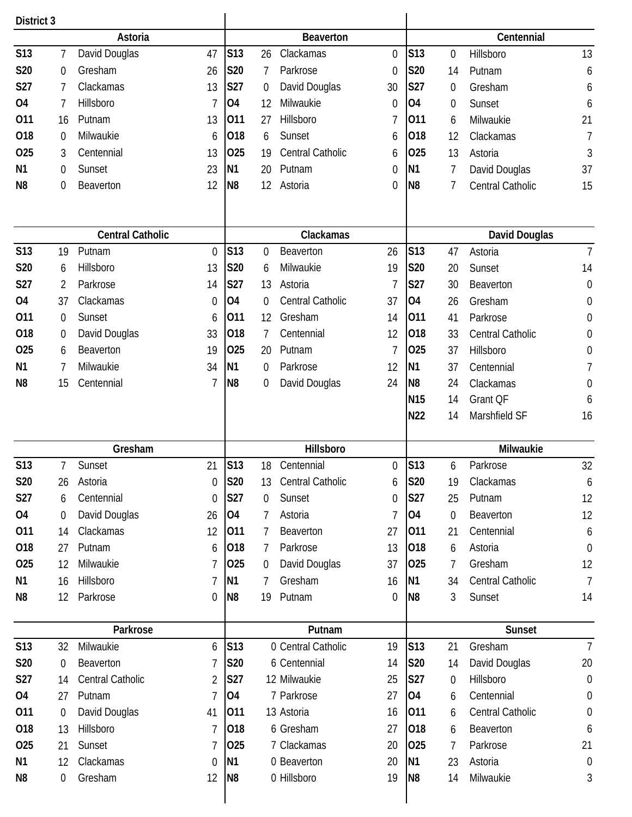| District 3     |                  |                         |                |                 |                  |                    |          |                 |                  |                      |                  |
|----------------|------------------|-------------------------|----------------|-----------------|------------------|--------------------|----------|-----------------|------------------|----------------------|------------------|
|                |                  | Astoria                 |                |                 |                  | <b>Beaverton</b>   |          |                 |                  | Centennial           |                  |
| <b>S13</b>     | 7                | David Douglas           | 47             | S13             | 26               | Clackamas          | 0        | <b>S13</b>      | 0                | Hillsboro            | 13               |
| S20            | 0                | Gresham                 | 26             | S20             | 7                | Parkrose           | 0        | S20             | 14               | Putnam               | 6                |
| S27            | 7                | Clackamas               | 13             | S27             | $\boldsymbol{0}$ | David Douglas      | 30       | <b>S27</b>      | 0                | Gresham              | 6                |
| 04             | 7                | Hillsboro               | 7              | O4              | 12               | Milwaukie          | 0        | <b>O4</b>       | 0                | Sunset               | 6                |
| 011            | 16               | Putnam                  | 13             | 011             | 27               | Hillsboro          | 7        | 011             | 6                | Milwaukie            | 21               |
| 018            | $\mathbf 0$      | Milwaukie               | 6              | 018             | 6                | Sunset             | 6        | 018             | 12               | Clackamas            | $\overline{1}$   |
| 025            | 3                | Centennial              | 13             | 025             | 19               | Central Catholic   | 6        | 025             | 13               | Astoria              | 3                |
| N1             | 0                | Sunset                  | 23             | N <sub>1</sub>  | 20               | Putnam             | 0        | N <sub>1</sub>  | 7                | David Douglas        | 37               |
| N <sub>8</sub> | $\boldsymbol{0}$ | Beaverton               | 12             | N <sub>8</sub>  | 12               | Astoria            | 0        | N <sub>8</sub>  | 7                | Central Catholic     | 15               |
|                |                  |                         |                |                 |                  |                    |          |                 |                  |                      |                  |
|                |                  | <b>Central Catholic</b> |                |                 |                  |                    |          |                 |                  |                      |                  |
|                |                  |                         |                |                 |                  | Clackamas          |          |                 |                  | <b>David Douglas</b> |                  |
| <b>S13</b>     | 19               | Putnam                  | $\mathbf{0}$   | S13             | $\mathbf 0$      | Beaverton          | 26       | <b>S13</b>      | 47               | Astoria              | $\overline{7}$   |
| <b>S20</b>     | 6                | Hillsboro               | 13             | S20             | 6                | Milwaukie          | 19       | S20             | 20               | Sunset               | 14               |
| S27            | 2                | Parkrose                | 14             | S27             | 13               | Astoria            | 7        | S27             | 30               | Beaverton            | $\boldsymbol{0}$ |
| <b>O4</b>      | 37               | Clackamas               | $\overline{0}$ | <b>O4</b>       | 0                | Central Catholic   | 37       | <b>O4</b>       | 26               | Gresham              | $\boldsymbol{0}$ |
| 011            | $\mathbf 0$      | Sunset                  | 6              | 011             | 12               | Gresham            | 14       | 011             | 41               | Parkrose             | $\boldsymbol{0}$ |
| 018            | $\boldsymbol{0}$ | David Douglas           | 33             | 018             | 7                | Centennial         | 12       | 018             | 33               | Central Catholic     | $\boldsymbol{0}$ |
| 025            | 6                | Beaverton               | 19             | 025             | 20               | Putnam             | 7        | 025             | 37               | Hillsboro            | $\boldsymbol{0}$ |
| N <sub>1</sub> | 7                | Milwaukie               | 34             | N <sub>1</sub>  | 0                | Parkrose           | 12       | N <sub>1</sub>  | 37               | Centennial           | 7                |
| N <sub>8</sub> | 15               | Centennial              | 7              | N8              | 0                | David Douglas      | 24       | N <sub>8</sub>  | 24               | Clackamas            | 0                |
|                |                  |                         |                |                 |                  |                    |          | N <sub>15</sub> | 14               | Grant QF             | 6                |
|                |                  |                         |                |                 |                  |                    |          | N22             | 14               | Marshfield SF        | 16               |
|                |                  | Gresham                 |                |                 |                  | Hillsboro          |          |                 |                  | Milwaukie            |                  |
| S13            | 7                | Sunset                  | 21             | S13             | 18               | Centennial         | 0        | S <sub>13</sub> | 6                | Parkrose             | 32               |
| <b>S20</b>     | 26               | Astoria                 | 0              | <b>S20</b>      | 13               | Central Catholic   | 6        | <b>S20</b>      | 19               | Clackamas            | 6                |
| S27            | 6                | Centennial              | $\theta$       | <b>S27</b>      | 0                | Sunset             | 0        | <b>S27</b>      | 25               | Putnam               | 12               |
| 04             | $\boldsymbol{0}$ | David Douglas           | 26             | 04              | 7                | Astoria            | 7        | <b>O4</b>       | $\mathbf 0$      | Beaverton            | 12               |
| 011            | 14               | Clackamas               | 12             | 011             | 7                | Beaverton          | 27       | 011             | 21               | Centennial           | 6                |
| 018            | 27               | Putnam                  | 6              | 018             | 7                | Parkrose           | 13       | 018             | 6                | Astoria              | $\mathbf 0$      |
| 025            | 12               | Milwaukie               | 7              | 025             | 0                | David Douglas      | 37       | 025             | 7                | Gresham              | 12               |
| N1             | 16               | Hillsboro               | 7              | <b>N1</b>       | 7                | Gresham            | 16       | N <sub>1</sub>  | 34               | Central Catholic     | $\overline{7}$   |
| N <sub>8</sub> | 12               | Parkrose                | 0              | N <sub>8</sub>  | 19               | Putnam             | $\Omega$ | N <sub>8</sub>  | 3                | Sunset               | 14               |
|                |                  |                         |                |                 |                  |                    |          |                 |                  |                      |                  |
|                |                  | Parkrose                |                |                 |                  | Putnam             |          |                 |                  | Sunset               |                  |
| S13            | 32               | Milwaukie               | 6              | S <sub>13</sub> |                  | 0 Central Catholic | 19       | S13             | 21               | Gresham              | 7                |
| <b>S20</b>     | 0                | Beaverton               | 7              | S20             |                  | 6 Centennial       | 14       | S20             | 14               | David Douglas        | 20               |
| <b>S27</b>     | 14               | Central Catholic        | 2              | S27             |                  | 12 Milwaukie       | 25       | <b>S27</b>      | $\boldsymbol{0}$ | Hillsboro            | $\boldsymbol{0}$ |
| 04             | 27               | Putnam                  |                | O4              |                  | 7 Parkrose         | 27       | <b>O4</b>       | 6                | Centennial           | $\boldsymbol{0}$ |
| 011            | 0                | David Douglas           | 41             | 011             |                  | 13 Astoria         | 16       | 011             | 6                | Central Catholic     | $\boldsymbol{0}$ |
| 018            | 13               | Hillsboro               | 7              | 018             |                  | 6 Gresham          | 27       | 018             | 6                | Beaverton            | 6                |
| 025            | 21               | Sunset                  |                | 025             |                  | 7 Clackamas        | 20       | 025             | 7                | Parkrose             | 21               |
| N1             | 12               | Clackamas               | $\overline{0}$ | <b>N1</b>       |                  | 0 Beaverton        | 20       | N <sub>1</sub>  | 23               | Astoria              | $\boldsymbol{0}$ |
| N <sub>8</sub> | 0                | Gresham                 | 12             | N <sub>8</sub>  |                  | 0 Hillsboro        | 19       | N <sub>8</sub>  | 14               | Milwaukie            | 3                |
|                |                  |                         |                |                 |                  |                    |          |                 |                  |                      |                  |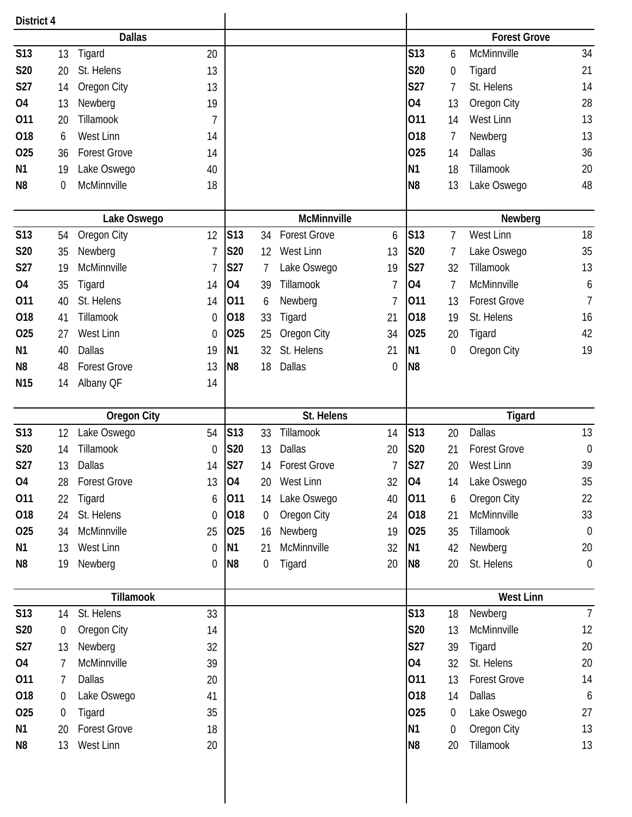| <b>Dallas</b><br><b>Forest Grove</b>                                                                                                     |                  |
|------------------------------------------------------------------------------------------------------------------------------------------|------------------|
| <b>S13</b><br>S13<br>McMinnville<br>13<br>Tigard<br>20<br>6                                                                              | 34               |
| S20<br>St. Helens<br>13<br>S20<br>20<br>Tigard<br>0                                                                                      | 21               |
| S27<br>S27<br>St. Helens<br>Oregon City<br>13<br>7<br>14                                                                                 | 14               |
| 04<br>04<br>13<br>Newberg<br>19<br>13<br>Oregon City                                                                                     | 28               |
| 011<br>Tillamook<br>011<br>West Linn<br>20<br>7<br>14                                                                                    | 13               |
| 018<br><b>West Linn</b><br>018<br>$\overline{7}$<br>Newberg<br>14<br>6                                                                   | 13               |
| 025<br><b>Forest Grove</b><br>025<br><b>Dallas</b><br>14<br>36<br>14                                                                     | 36               |
| N <sub>1</sub><br>Lake Oswego<br>N1<br>Tillamook<br>19<br>40<br>18                                                                       | 20               |
| McMinnville<br>N <sub>8</sub><br>$\mathbf 0$<br>18<br>N <sub>8</sub><br>13<br>Lake Oswego                                                | 48               |
| McMinnville<br>Lake Oswego                                                                                                               | Newberg          |
| <b>S13</b><br><b>S13</b><br><b>S13</b><br>West Linn<br>Oregon City<br>12<br><b>Forest Grove</b><br>34<br>7<br>54<br>6                    | 18               |
| S20<br>S20<br>West Linn<br>S20<br>35<br>Newberg<br>7<br>13<br>Lake Oswego<br>12<br>7                                                     | 35               |
| S27<br>McMinnville<br>S27<br>S27<br>Tillamook<br>Lake Oswego<br>19<br>32<br>19<br>7                                                      | 13               |
| 04<br>Tillamook<br>04<br>McMinnville<br><b>O4</b><br>$\overline{7}$<br>Tigard<br>7<br>35<br>14<br>39                                     | 6                |
| St. Helens<br>011<br>Newberg<br>011<br><b>Forest Grove</b><br>011<br>40<br>13<br>14<br>7<br>6                                            | $\overline{7}$   |
| 018<br>018<br>018<br>St. Helens<br>Tillamook<br>41<br>33<br>Tigard<br>21<br>19<br>$\mathbf 0$                                            | 16               |
| 025<br>West Linn<br>025<br>025<br>27<br>Oregon City<br>34<br>$\mathbf 0$<br>25<br>20<br>Tigard                                           | 42               |
| <b>Dallas</b><br>N <sub>1</sub><br>St. Helens<br>N <sub>1</sub><br>40<br>32<br>N1<br>Oregon City<br>19<br>21<br>0                        | 19               |
| N <sub>8</sub><br>48<br><b>Forest Grove</b><br>13<br>N <sub>8</sub><br>Dallas<br>N <sub>8</sub><br>18<br>0                               |                  |
| N <sub>15</sub><br>14<br>14<br>Albany QF                                                                                                 |                  |
| St. Helens<br><b>Oregon City</b>                                                                                                         | <b>Tigard</b>    |
| <b>S13</b><br><b>S13</b><br><b>Dallas</b><br><b>S13</b><br>Tillamook<br>Lake Oswego<br>54<br>33<br>20<br>14<br>12                        | 13               |
| S20<br>Tillamook<br>S20<br>Dallas<br>S20<br><b>Forest Grove</b><br>14<br>13<br>20<br>21<br>0                                             | $\boldsymbol{0}$ |
| <b>S27</b><br>S27<br>S27<br>13<br>Dallas<br><b>Forest Grove</b><br>West Linn<br>14<br>14<br>20                                           | 39               |
| <b>O4</b><br>04<br>O <sub>4</sub><br><b>Forest Grove</b><br>West Linn<br>32<br>Lake Oswego<br>13<br>28<br>20<br>14                       | 35               |
| 011<br>Lake Oswego<br>011<br>Oregon City<br>22<br>Tigard<br>011<br>40<br>14<br>6<br>6                                                    | 22               |
| St. Helens<br>Oregon City<br>McMinnville<br>018<br>018<br>24<br>018<br>21<br>24<br>$\theta$<br>$\boldsymbol{0}$                          | 33               |
| Tillamook<br>025<br>McMinnville<br>025<br>Newberg<br>025<br>34<br>25<br>19<br>35<br>16                                                   | $\mathbf 0$      |
| McMinnville<br>West Linn<br>Newberg<br>N <sub>1</sub><br>13<br>N <sub>1</sub><br>32<br>N1<br>42<br>21<br>0                               | 20               |
| St. Helens<br>N <sub>8</sub><br>N <sub>8</sub><br>20<br>20<br>19<br>Newberg<br>$\overline{0}$<br>$\mathbf 0$<br>Tigard<br>N <sub>8</sub> | $\mathbf 0$      |
| <b>Tillamook</b>                                                                                                                         | <b>West Linn</b> |
| S13<br>S13<br>St. Helens<br>33<br>Newberg<br>14<br>18                                                                                    | $\overline{7}$   |
| S20<br>Oregon City<br>S20<br>McMinnville<br>$\boldsymbol{0}$<br>14<br>13                                                                 | 12               |
| S27<br>Newberg<br>S27<br>32<br>Tigard<br>13<br>39                                                                                        | 20               |
| McMinnville<br>St. Helens<br>04<br>04<br>39<br>32<br>7                                                                                   | 20               |
| 011<br><b>Dallas</b><br>011<br><b>Forest Grove</b><br>13<br>7<br>20                                                                      | 14               |
| 018<br>Lake Oswego<br>018<br>Dallas<br>41<br>14<br>0                                                                                     | 6                |
| 025<br>025<br>Tigard<br>Lake Oswego<br>35<br>0<br>$\mathbf 0$                                                                            | 27               |
| <b>Forest Grove</b><br>Oregon City<br>N <sub>1</sub><br>18<br>N1<br>$\boldsymbol{0}$<br>20                                               | 13               |
| Tillamook<br>13<br>West Linn<br>20<br>N <sub>8</sub><br>20<br>N <sub>8</sub>                                                             | 13               |
|                                                                                                                                          |                  |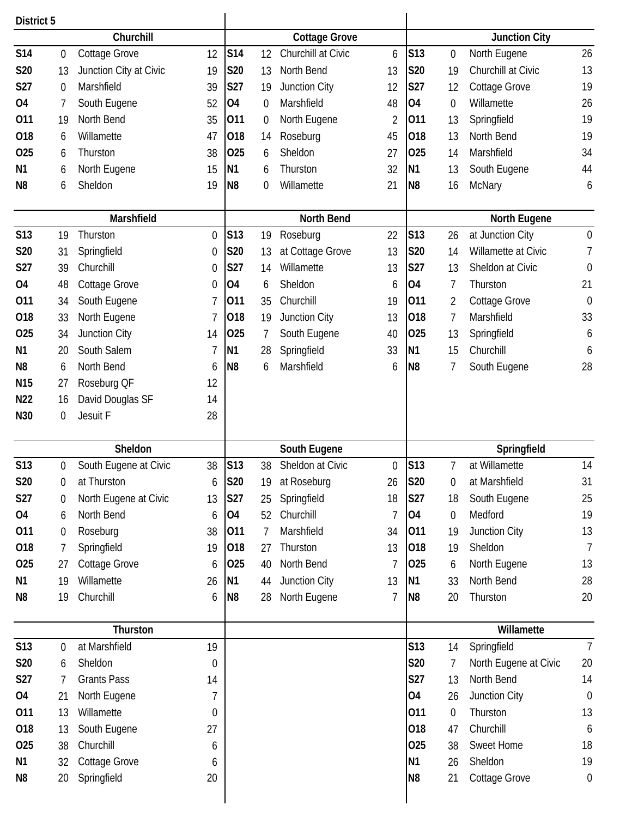| District 5      |                  |                        |          |                 |                  |                      |                  |                |                  |                       |                  |
|-----------------|------------------|------------------------|----------|-----------------|------------------|----------------------|------------------|----------------|------------------|-----------------------|------------------|
|                 |                  | Churchill              |          |                 |                  | <b>Cottage Grove</b> |                  |                |                  | <b>Junction City</b>  |                  |
| <b>S14</b>      | $\boldsymbol{0}$ | Cottage Grove          | 12       | S14             | 12               | Churchill at Civic   | 6                | S13            | $\boldsymbol{0}$ | North Eugene          | 26               |
| S20             | 13               | Junction City at Civic | 19       | S20             | 13               | North Bend           | 13               | <b>S20</b>     | 19               | Churchill at Civic    | 13               |
| S27             | $\boldsymbol{0}$ | Marshfield             | 39       | S27             | 19               | Junction City        | 12               | S27            | 12               | Cottage Grove         | 19               |
| 04              | 7                | South Eugene           | 52       | O <sub>4</sub>  | $\mathbf 0$      | Marshfield           | 48               | <b>O4</b>      | $\boldsymbol{0}$ | Willamette            | 26               |
| 011             | 19               | North Bend             | 35       | 011             | $\boldsymbol{0}$ | North Eugene         | $\overline{2}$   | 011            | 13               | Springfield           | 19               |
| 018             | 6                | Willamette             | 47       | 018             | 14               | Roseburg             | 45               | 018            | 13               | North Bend            | 19               |
| 025             | 6                | Thurston               | 38       | 025             | 6                | Sheldon              | 27               | 025            | 14               | Marshfield            | 34               |
| N1              | 6                | North Eugene           | 15       | N <sub>1</sub>  | 6                | Thurston             | 32               | N <sub>1</sub> | 13               | South Eugene          | 44               |
| N <sub>8</sub>  | 6                | Sheldon                | 19       | N <sub>8</sub>  | 0                | Willamette           | 21               | N <sub>8</sub> | 16               | McNary                | 6                |
|                 |                  |                        |          |                 |                  |                      |                  |                |                  |                       |                  |
|                 |                  | Marshfield             |          |                 |                  | <b>North Bend</b>    |                  |                |                  | North Eugene          |                  |
| <b>S13</b>      | 19               | Thurston               | 0        | S <sub>13</sub> | 19               | Roseburg             | 22               | <b>S13</b>     | 26               | at Junction City      | $\boldsymbol{0}$ |
| S20             | 31               | Springfield            | $\theta$ | S20             | 13               | at Cottage Grove     | 13               | <b>S20</b>     | 14               | Willamette at Civic   | 7                |
| S27             | 39               | Churchill              | 0        | S27             | 14               | Willamette           | 13               | S27            | 13               | Sheldon at Civic      | $\mathbf 0$      |
| <b>O4</b>       | 48               | Cottage Grove          | 0        | <b>O4</b>       | 6                | Sheldon              | 6                | <b>O4</b>      | 7                | Thurston              | 21               |
| 011             | 34               | South Eugene           | 7        | 011             | 35               | Churchill            | 19               | 011            | 2                | Cottage Grove         | $\mathbf 0$      |
| 018             | 33               | North Eugene           |          | 018             | 19               | Junction City        | 13               | 018            | 7                | Marshfield            | 33               |
| 025             | 34               | Junction City          | 14       | 025             | 7                | South Eugene         | 40               | 025            | 13               | Springfield           | 6                |
| N <sub>1</sub>  | 20               | South Salem            |          | N1              | 28               | Springfield          | 33               | N <sub>1</sub> | 15               | Churchill             | 6                |
| N <sub>8</sub>  | 6                | North Bend             | 6        | N <sub>8</sub>  | 6                | Marshfield           | 6                | N <sub>8</sub> | 7                | South Eugene          | 28               |
| N <sub>15</sub> | 27               | Roseburg QF            | 12       |                 |                  |                      |                  |                |                  |                       |                  |
| N <sub>22</sub> | 16               | David Douglas SF       | 14       |                 |                  |                      |                  |                |                  |                       |                  |
| N30             | $\boldsymbol{0}$ | Jesuit F               | 28       |                 |                  |                      |                  |                |                  |                       |                  |
|                 |                  |                        |          |                 |                  |                      |                  |                |                  |                       |                  |
|                 |                  | Sheldon                |          |                 |                  | South Eugene         |                  |                |                  | Springfield           |                  |
| S13             | 0                | South Eugene at Civic  | 38       | S13             | 38               | Sheldon at Civic     | $\boldsymbol{0}$ | <b>S13</b>     | 7                | at Willamette         | 14               |
| S20             | 0                | at Thurston            | 6        | <b>S20</b>      | 19               | at Roseburg          | 26               | S20            | 0                | at Marshfield         | 31               |
| S27             | 0                | North Eugene at Civic  | 13       | <b>S27</b>      | 25               | Springfield          | 18               | <b>S27</b>     | 18               | South Eugene          | 25               |
| 04              | 6                | North Bend             | 6        | <b>O4</b>       | 52               | Churchill            | 7                | <b>O4</b>      | $\boldsymbol{0}$ | Medford               | 19               |
| 011             | $\boldsymbol{0}$ | Roseburg               | 38       | 011             | 7                | Marshfield           | 34               | 011            | 19               | Junction City         | 13               |
| 018             | 7                | Springfield            | 19       | 018             | 27               | Thurston             | 13               | 018            | 19               | Sheldon               | 7                |
| 025             | 27               | Cottage Grove          | 6        | 025             | 40               | North Bend           | 7                | 025            | 6                | North Eugene          | 13               |
| N1              | 19               | Willamette             | 26       | N1              | 44               | Junction City        | 13               | N <sub>1</sub> | 33               | North Bend            | 28               |
| N8              | 19               | Churchill              | 6        | N <sub>8</sub>  | 28               | North Eugene         | 7                | N <sub>8</sub> | 20               | Thurston              | 20               |
|                 |                  |                        |          |                 |                  |                      |                  |                |                  |                       |                  |
|                 |                  | Thurston               |          |                 |                  |                      |                  |                |                  | Willamette            |                  |
| S13             | 0                | at Marshfield          | 19       |                 |                  |                      |                  | S13            | 14               | Springfield           | $\overline{7}$   |
| <b>S20</b>      | 6                | Sheldon                | 0        |                 |                  |                      |                  | <b>S20</b>     | 7                | North Eugene at Civic | 20               |
| S27             | $\overline{7}$   | <b>Grants Pass</b>     | 14       |                 |                  |                      |                  | S27            | 13               | North Bend            | 14               |
| 04              | 21               | North Eugene           | 7        |                 |                  |                      |                  | <b>O4</b>      | 26               | Junction City         | $\mathbf 0$      |
| 011             | 13               | Willamette             | 0        |                 |                  |                      |                  | 011            | $\boldsymbol{0}$ | Thurston              | 13               |
| 018             | 13               | South Eugene           | 27       |                 |                  |                      |                  | 018            | 47               | Churchill             | 6                |
| 025             | 38               | Churchill              | 6        |                 |                  |                      |                  | 025            | 38               | Sweet Home            | 18               |
|                 |                  |                        |          |                 |                  |                      |                  |                |                  |                       |                  |
| N1              | 32               | <b>Cottage Grove</b>   | 6        |                 |                  |                      |                  | N <sub>1</sub> | 26               | Sheldon               | 19               |
| N <sub>8</sub>  | 20               | Springfield            | 20       |                 |                  |                      |                  | N <sub>8</sub> | 21               | <b>Cottage Grove</b>  | $\boldsymbol{0}$ |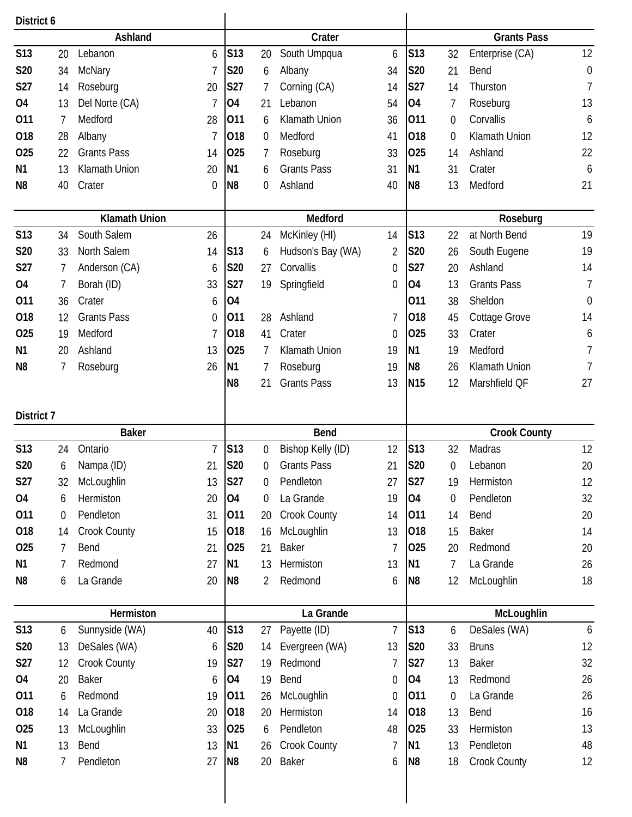| District 6     |                  |                      |             |                 |                  |                     |                |                |                  |                      |                  |
|----------------|------------------|----------------------|-------------|-----------------|------------------|---------------------|----------------|----------------|------------------|----------------------|------------------|
|                |                  | Ashland              |             |                 |                  | Crater              |                |                |                  | <b>Grants Pass</b>   |                  |
| <b>S13</b>     | 20               | Lebanon              | 6           | S <sub>13</sub> | 20               | South Umpqua        | 6              | S13            | 32               | Enterprise (CA)      | 12               |
| S20            | 34               | McNary               |             | S20             | 6                | Albany              | 34             | <b>S20</b>     | 21               | Bend                 | $\boldsymbol{0}$ |
| S27            | 14               | Roseburg             | 20          | S27             | 7                | Corning (CA)        | 14             | S27            | 14               | Thurston             | $\overline{1}$   |
| <b>O4</b>      | 13               | Del Norte (CA)       |             | O4              | 21               | Lebanon             | 54             | <b>O4</b>      | 7                | Roseburg             | 13               |
| 011            | 7                | Medford              | 28          | 011             | 6                | Klamath Union       | 36             | 011            | 0                | Corvallis            | 6                |
| 018            | 28               | Albany               | 7           | 018             | 0                | Medford             | 41             | 018            | 0                | Klamath Union        | 12               |
| 025            | 22               | <b>Grants Pass</b>   | 14          | 025             | 7                | Roseburg            | 33             | 025            | 14               | Ashland              | 22               |
| N <sub>1</sub> | 13               | Klamath Union        | 20          | N <sub>1</sub>  | 6                | <b>Grants Pass</b>  | 31             | N <sub>1</sub> | 31               | Crater               | $\boldsymbol{6}$ |
| N <sub>8</sub> | 40               | Crater               | $\theta$    | N <sub>8</sub>  | 0                | Ashland             | 40             | N <sub>8</sub> | 13               | Medford              | 21               |
|                |                  | <b>Klamath Union</b> |             |                 |                  | Medford             |                |                |                  | Roseburg             |                  |
| <b>S13</b>     | 34               | South Salem          | 26          |                 | 24               | McKinley (HI)       | 14             | <b>S13</b>     | 22               | at North Bend        | 19               |
| S20            | 33               | North Salem          | 14          | S <sub>13</sub> | 6                | Hudson's Bay (WA)   | 2              | <b>S20</b>     | 26               | South Eugene         | 19               |
| <b>S27</b>     | 7                | Anderson (CA)        | 6           | S20             | 27               | Corvallis           | 0              | S27            | 20               | Ashland              | 14               |
| 04             | $\overline{7}$   | Borah (ID)           | 33          | S27             | 19               | Springfield         | 0              | <b>O4</b>      | 13               | <b>Grants Pass</b>   | $\overline{1}$   |
| 011            | 36               | Crater               | 6           | 04              |                  |                     |                | 011            | 38               | Sheldon              | 0                |
| 018            | 12               | <b>Grants Pass</b>   | $\mathbf 0$ | 011             | 28               | Ashland             | 7              | 018            | 45               | <b>Cottage Grove</b> | 14               |
| 025            | 19               | Medford              | 7           | 018             | 41               | Crater              | 0              | 025            | 33               | Crater               | 6                |
| N <sub>1</sub> | 20               | Ashland              | 13          | 025             | 7                | Klamath Union       | 19             | <b>N1</b>      | 19               | Medford              | 7                |
| N <sub>8</sub> | 7                | Roseburg             | 26          | N <sub>1</sub>  | 7                | Roseburg            | 19             | N <sub>8</sub> | 26               | Klamath Union        | 7                |
|                |                  |                      |             | N <sub>8</sub>  | 21               | <b>Grants Pass</b>  | 13             | <b>N15</b>     | 12               | Marshfield QF        | 27               |
| District 7     |                  |                      |             |                 |                  |                     |                |                |                  |                      |                  |
|                |                  | <b>Baker</b>         |             |                 |                  | <b>Bend</b>         |                |                |                  | <b>Crook County</b>  |                  |
| <b>S13</b>     | 24               | Ontario              | 7           | S13             | $\boldsymbol{0}$ | Bishop Kelly (ID)   | 12             | <b>S13</b>     | 32               | Madras               | 12               |
| <b>S20</b>     | 6                | Nampa (ID)           | 21          | S20             | 0                | <b>Grants Pass</b>  | 21             | <b>S20</b>     | $\mathbf 0$      | Lebanon              | 20               |
| S27            | 32               | McLoughlin           | 13          | <b>S27</b>      | 0                | Pendleton           | 27             | <b>S27</b>     | 19               | Hermiston            | 12               |
| 04             | 6                | Hermiston            | 20          | <b>O4</b>       | $\boldsymbol{0}$ | La Grande           | 19             | <b>O4</b>      | $\boldsymbol{0}$ | Pendleton            | 32               |
| 011            | $\boldsymbol{0}$ | Pendleton            | 31          | 011             | 20               | <b>Crook County</b> | 14             | 011            | 14               | Bend                 | 20               |
| 018            | 14               | Crook County         | 15          | 018             | 16               | McLoughlin          | 13             | 018            | 15               | <b>Baker</b>         | 14               |
| 025            | 7                | Bend                 | 21          | 025             | 21               | <b>Baker</b>        | 7              | 025            | 20               | Redmond              | 20               |
| N <sub>1</sub> | 7                | Redmond              | 27          | <b>N1</b>       | 13               | Hermiston           | 13             | N <sub>1</sub> | 7                | La Grande            | 26               |
| N8             | 6                | La Grande            | 20          | N <sub>8</sub>  | 2                | Redmond             | 6              | N <sub>8</sub> | 12               | McLoughlin           | 18               |
|                |                  | Hermiston            |             |                 |                  | La Grande           |                |                |                  | McLoughlin           |                  |
| S13            | 6                | Sunnyside (WA)       | 40          | S13             | 27               | Payette (ID)        | $\overline{7}$ | <b>S13</b>     | 6                | DeSales (WA)         | $\boldsymbol{6}$ |
| S20            | 13               | DeSales (WA)         | 6           | S20             | 14               | Evergreen (WA)      | 13             | S20            | 33               | <b>Bruns</b>         | 12               |
| <b>S27</b>     | 12               | Crook County         | 19          | <b>S27</b>      | 19               | Redmond             | 7              | <b>S27</b>     | 13               | <b>Baker</b>         | 32               |
| 04             | 20               | <b>Baker</b>         | 6           | O4              | 19               | Bend                | 0              | <b>O4</b>      | 13               | Redmond              | 26               |
| 011            | 6                | Redmond              | 19          | 011             | 26               | McLoughlin          | 0              | 011            | $\boldsymbol{0}$ | La Grande            | 26               |
| 018            | 14               | La Grande            | 20          | 018             | 20               | Hermiston           | 14             | 018            | 13               | Bend                 | 16               |
| 025            | 13               | McLoughlin           | 33          | 025             | 6                | Pendleton           | 48             | 025            | 33               | Hermiston            | 13               |
| N <sub>1</sub> | 13               | Bend                 | 13          | N <sub>1</sub>  | 26               | <b>Crook County</b> | 7              | N <sub>1</sub> | 13               | Pendleton            | 48               |
| N <sub>8</sub> | 7                | Pendleton            | 27          | N <sub>8</sub>  | 20               | <b>Baker</b>        | 6              | N <sub>8</sub> | 18               | Crook County         | 12               |
|                |                  |                      |             |                 |                  |                     |                |                |                  |                      |                  |

 $\mathsf{l}$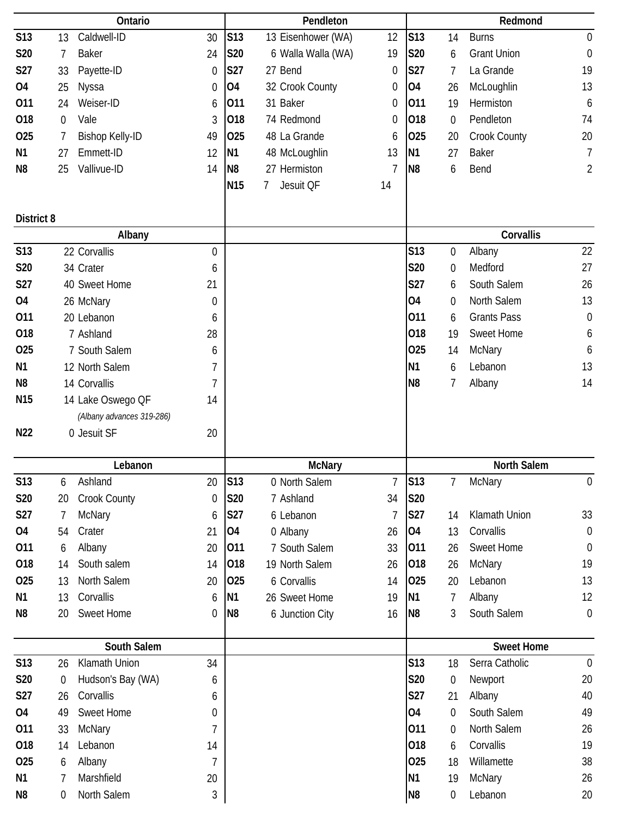|                      |                  | Ontario                   |                  |                 | Pendleton                   |                |                                  |                        | Redmond             |                  |
|----------------------|------------------|---------------------------|------------------|-----------------|-----------------------------|----------------|----------------------------------|------------------------|---------------------|------------------|
| <b>S13</b>           | 13               | Caldwell-ID               | 30               | S <sub>13</sub> | 13 Eisenhower (WA)          | 12             | S13                              | 14                     | <b>Burns</b>        | $\mathbf 0$      |
| <b>S20</b>           | 7                | Baker                     | 24               | S20             | 6 Walla Walla (WA)          | 19             | S20                              | 6                      | <b>Grant Union</b>  | $\boldsymbol{0}$ |
| S27                  | 33               | Payette-ID                | 0                | S27             | 27 Bend                     | 0              | S27                              | 7                      | La Grande           | 19               |
| <b>04</b>            | 25               | Nyssa                     | 0                | O4              | 32 Crook County             | 0              | <b>O4</b>                        | 26                     | McLoughlin          | 13               |
| 011                  | 24               | Weiser-ID                 | 6                | 011             | 31 Baker                    | 0              | 011                              | 19                     | Hermiston           | 6                |
| 018                  | $\overline{0}$   | Vale                      | 3                | 018             | 74 Redmond                  | 0              | 018                              | $\boldsymbol{0}$       | Pendleton           | 74               |
| 025                  | 7                | <b>Bishop Kelly-ID</b>    | 49               | 025             | 48 La Grande                | 6              | 025                              | 20                     | <b>Crook County</b> | 20               |
| N <sub>1</sub>       | 27               | Emmett-ID                 | 12               | N <sub>1</sub>  | 48 McLoughlin               | 13             | <b>N1</b>                        | 27                     | <b>Baker</b>        | $\overline{1}$   |
| N8                   | 25               | Vallivue-ID               | 14               | N <sub>8</sub>  | 27 Hermiston                | $\overline{7}$ | N <sub>8</sub>                   | 6                      | Bend                | $\overline{2}$   |
|                      |                  |                           |                  | N15             | Jesuit QF<br>$\overline{7}$ | 14             |                                  |                        |                     |                  |
|                      |                  |                           |                  |                 |                             |                |                                  |                        |                     |                  |
| <b>District 8</b>    |                  |                           |                  |                 |                             |                |                                  |                        |                     |                  |
|                      |                  | Albany                    |                  |                 |                             |                |                                  |                        | Corvallis           |                  |
| <b>S13</b>           |                  | 22 Corvallis              | 0                |                 |                             |                | <b>S13</b>                       | $\boldsymbol{0}$       | Albany              | 22               |
| S20                  |                  | 34 Crater                 | 6                |                 |                             |                | S20                              | $\mathbf 0$            | Medford             | 27               |
| <b>S27</b>           |                  | 40 Sweet Home             | 21               |                 |                             |                | S27                              | 6                      | South Salem         | 26               |
| 04                   |                  | 26 McNary                 | 0                |                 |                             |                | 04                               | $\mathbf 0$            | North Salem         | 13               |
| 011                  |                  | 20 Lebanon                | 6                |                 |                             |                | 011                              | 6                      | <b>Grants Pass</b>  | $\boldsymbol{0}$ |
| 018                  |                  | 7 Ashland                 | 28               |                 |                             |                | 018                              | 19                     | Sweet Home          | 6                |
| 025                  |                  | 7 South Salem             | 6                |                 |                             |                | 025                              | 14                     | <b>McNary</b>       | 6                |
| N1                   |                  | 12 North Salem            | 7                |                 |                             |                | N1                               | 6                      | Lebanon             | 13               |
| N <sub>8</sub>       |                  | 14 Corvallis              | 7                |                 |                             |                | N <sub>8</sub>                   | 7                      | Albany              | 14               |
| N <sub>15</sub>      |                  | 14 Lake Oswego QF         | 14               |                 |                             |                |                                  |                        |                     |                  |
|                      |                  |                           |                  |                 |                             |                |                                  |                        |                     |                  |
|                      |                  | (Albany advances 319-286) |                  |                 |                             |                |                                  |                        |                     |                  |
| N <sub>22</sub>      |                  | 0 Jesuit SF               | 20               |                 |                             |                |                                  |                        |                     |                  |
|                      |                  |                           |                  |                 |                             |                |                                  |                        |                     |                  |
|                      |                  | Lebanon                   |                  |                 | <b>McNary</b>               |                |                                  |                        | North Salem         |                  |
| S13                  | 6                | Ashland                   | 20               | S13             | 0 North Salem               | 7              | <b>S13</b>                       | 7                      | McNary              | 0                |
| <b>S20</b>           | 20               | Crook County              | $\mathbf 0$      | S20             | 7 Ashland                   | 34             | S20                              |                        |                     |                  |
| <b>S27</b>           | 7                | <b>McNary</b>             | 6                | <b>S27</b>      | 6 Lebanon                   | $\overline{7}$ | <b>S27</b>                       | 14                     | Klamath Union       | 33               |
| 04                   | 54               | Crater                    | 21               | 04              | 0 Albany                    | 26             | 04                               | 13                     | Corvallis           | $\mathbf 0$      |
| 011                  | 6                | Albany                    | 20               | 011             | 7 South Salem               | 33             | 011                              | 26                     | Sweet Home          | $\boldsymbol{0}$ |
| 018                  | 14               | South salem               | 14               | 018             | 19 North Salem              | 26             | 018                              | 26                     | <b>McNary</b>       | 19               |
| 025                  | 13               | North Salem               | 20               | 025             | 6 Corvallis                 | 14             | 025                              | 20                     | Lebanon             | 13               |
| N1                   | 13               | Corvallis                 | 6                | N1              | 26 Sweet Home               | 19             | N <sub>1</sub>                   | 7                      | Albany              | 12               |
| N <sub>8</sub>       | 20               | <b>Sweet Home</b>         | 0                | N <sub>8</sub>  | 6 Junction City             | 16             | N <sub>8</sub>                   | 3                      | South Salem         | $\mathbf 0$      |
|                      |                  |                           |                  |                 |                             |                |                                  |                        |                     |                  |
|                      |                  | South Salem               |                  |                 |                             |                |                                  |                        | <b>Sweet Home</b>   |                  |
| S13                  | 26               | Klamath Union             | 34               |                 |                             |                | S13                              | 18                     | Serra Catholic      | $\overline{0}$   |
| S20                  | $\boldsymbol{0}$ | Hudson's Bay (WA)         | 6                |                 |                             |                | S20                              | 0                      | Newport             | 20               |
| <b>S27</b>           | 26               | Corvallis                 | 6                |                 |                             |                | S27                              | 21                     | Albany              | 40               |
| 04                   | 49               | <b>Sweet Home</b>         | 0                |                 |                             |                | 04                               | $\boldsymbol{0}$       | South Salem         | 49               |
| 011                  | 33               | <b>McNary</b>             | 7                |                 |                             |                | 011                              | 0                      | North Salem         | 26               |
| 018                  | 14               | Lebanon                   | 14               |                 |                             |                | 018                              | 6                      | Corvallis           | 19               |
| 025                  | 6                | Albany                    | 7                |                 |                             |                | 025                              | 18                     | Willamette          | 38               |
| N1<br>N <sub>8</sub> | 7<br>0           | Marshfield<br>North Salem | 20<br>$\sqrt{3}$ |                 |                             |                | N <sub>1</sub><br>N <sub>8</sub> | 19<br>$\boldsymbol{0}$ | McNary<br>Lebanon   | 26<br>20         |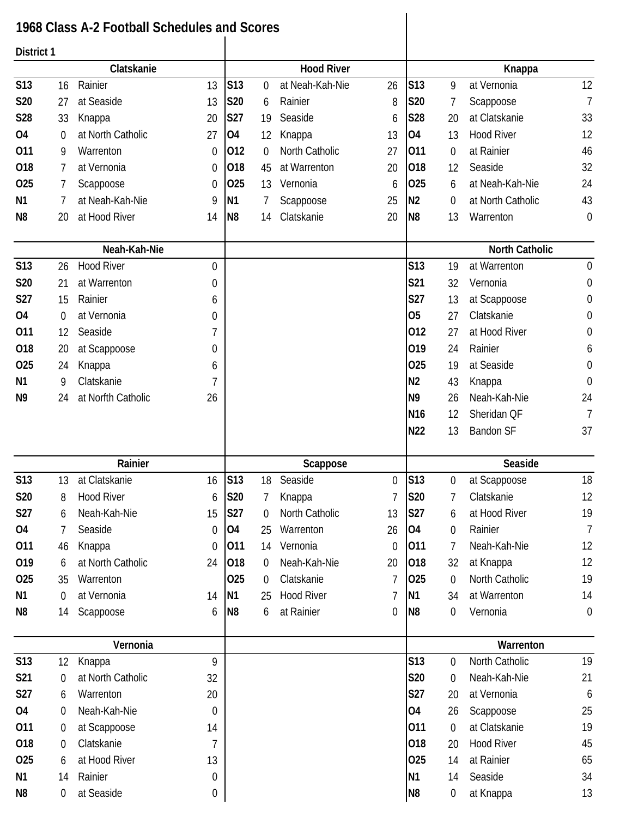## **1968 Class A-2 Football Schedules and Scores**

 $\overline{\phantom{a}}$ 

| District 1     |                  |                    |                  |                |                |                   |                |                 |                  |                       |                  |
|----------------|------------------|--------------------|------------------|----------------|----------------|-------------------|----------------|-----------------|------------------|-----------------------|------------------|
|                |                  | Clatskanie         |                  |                |                | <b>Hood River</b> |                |                 |                  | Knappa                |                  |
| <b>S13</b>     | 16               | Rainier            | 13               | <b>S13</b>     | $\overline{0}$ | at Neah-Kah-Nie   | 26             | S <sub>13</sub> | 9                | at Vernonia           | 12               |
| S20            | 27               | at Seaside         | 13               | S20            | 6              | Rainier           | 8              | <b>S20</b>      | 7                | Scappoose             | $\overline{7}$   |
| S28            | 33               | Knappa             | 20               | S27            | 19             | Seaside           | 6              | S28             | 20               | at Clatskanie         | 33               |
| <b>O4</b>      | 0                | at North Catholic  | 27               | O <sub>4</sub> | 12             | Knappa            | 13             | <b>O4</b>       | 13               | <b>Hood River</b>     | 12               |
| 011            | 9                | Warrenton          | 0                | 012            | 0              | North Catholic    | 27             | 011             | $\mathbf 0$      | at Rainier            | 46               |
| 018            | 7                | at Vernonia        | 0                | 018            | 45             | at Warrenton      | 20             | 018             | 12               | Seaside               | 32               |
| <b>O25</b>     | 7                | Scappoose          | 0                | 025            | 13             | Vernonia          | 6              | 025             | 6                | at Neah-Kah-Nie       | 24               |
| N <sub>1</sub> | 7                | at Neah-Kah-Nie    | 9                | N1             | 7              | Scappoose         | 25             | N <sub>2</sub>  | $\overline{0}$   | at North Catholic     | 43               |
| N8             | 20               | at Hood River      | 14               | N <sub>8</sub> | 14             | Clatskanie        | 20             | N <sub>8</sub>  | 13               | Warrenton             | 0                |
|                |                  | Neah-Kah-Nie       |                  |                |                |                   |                |                 |                  | <b>North Catholic</b> |                  |
| <b>S13</b>     | 26               | <b>Hood River</b>  | 0                |                |                |                   |                | S13             | 19               | at Warrenton          | 0                |
| <b>S20</b>     | 21               | at Warrenton       | 0                |                |                |                   |                | S21             | 32               | Vernonia              | $\boldsymbol{0}$ |
| S27            | 15               | Rainier            | 6                |                |                |                   |                | S27             | 13               | at Scappoose          | $\boldsymbol{0}$ |
| 04             | 0                | at Vernonia        | 0                |                |                |                   |                | 05              | 27               | Clatskanie            | 0                |
| 011            | 12               | Seaside            | 7                |                |                |                   |                | 012             | 27               | at Hood River         | 0                |
| 018            | 20               | at Scappoose       | 0                |                |                |                   |                | 019             | 24               | Rainier               | 6                |
| 025            | 24               | Knappa             | 6                |                |                |                   |                | 025             | 19               | at Seaside            | 0                |
| N <sub>1</sub> | 9                | Clatskanie         | 7                |                |                |                   |                | N <sub>2</sub>  | 43               | Knappa                | $\boldsymbol{0}$ |
| N9             | 24               | at Norfth Catholic | 26               |                |                |                   |                | N <sub>9</sub>  | 26               | Neah-Kah-Nie          | 24               |
|                |                  |                    |                  |                |                |                   |                | N <sub>16</sub> | 12               | Sheridan QF           | $\overline{7}$   |
|                |                  |                    |                  |                |                |                   |                | N22             | 13               | <b>Bandon SF</b>      | 37               |
|                |                  | Rainier            |                  |                |                | Scappose          |                |                 |                  | Seaside               |                  |
| <b>S13</b>     | 13               | at Clatskanie      | 16               | S13            | 18             | Seaside           | $\overline{0}$ | S13             | $\mathbf 0$      | at Scappoose          | 18               |
| <b>S20</b>     | 8                | <b>Hood River</b>  | 6                | <b>S20</b>     | 7              | Knappa            | 7              | <b>S20</b>      | 7                | Clatskanie            | 12               |
| <b>S27</b>     | $\boldsymbol{6}$ | Neah-Kah-Nie       | 15               | S27            | $\overline{0}$ | North Catholic    | 13             | <b>S27</b>      | 6                | at Hood River         | 19               |
| 04             | 7                | Seaside            | 0                | 04             | 25             | Warrenton         | 26             | <b>O4</b>       | $\mathbf 0$      | Rainier               | $\overline{1}$   |
| 011            | 46               | Knappa             | $\overline{0}$   | 011            | 14             | Vernonia          | 0              | 011             | 7                | Neah-Kah-Nie          | 12               |
| 019            | 6                | at North Catholic  | 24               | 018            | 0              | Neah-Kah-Nie      | 20             | 018             | 32               | at Knappa             | 12               |
| 025            | 35               | Warrenton          |                  | 025            | 0              | Clatskanie        | 7              | 025             | $\boldsymbol{0}$ | North Catholic        | 19               |
| N <sub>1</sub> | $\mathbf 0$      | at Vernonia        | 14               | N <sub>1</sub> | 25             | <b>Hood River</b> | 7              | N <sub>1</sub>  | 34               | at Warrenton          | 14               |
| N <sub>8</sub> | 14               | Scappoose          | 6                | N <sub>8</sub> | 6              | at Rainier        | 0              | N <sub>8</sub>  | $\boldsymbol{0}$ | Vernonia              | $\boldsymbol{0}$ |
|                |                  | Vernonia           |                  |                |                |                   |                |                 |                  | Warrenton             |                  |
| <b>S13</b>     | 12               | Knappa             | 9                |                |                |                   |                | S13             | $\boldsymbol{0}$ | North Catholic        | 19               |
| <b>S21</b>     | $\boldsymbol{0}$ | at North Catholic  | 32               |                |                |                   |                | S20             | 0                | Neah-Kah-Nie          | 21               |
| S27            | 6                | Warrenton          | 20               |                |                |                   |                | S27             | 20               | at Vernonia           | 6                |
| 04             | $\mathbf 0$      | Neah-Kah-Nie       | $\boldsymbol{0}$ |                |                |                   |                | 04              | 26               | Scappoose             | 25               |
| 011            | 0                | at Scappoose       | 14               |                |                |                   |                | 011             | $\boldsymbol{0}$ | at Clatskanie         | 19               |
| 018            | $\boldsymbol{0}$ | Clatskanie         | 7                |                |                |                   |                | 018             | 20               | <b>Hood River</b>     | 45               |
| 025            | 6                | at Hood River      | 13               |                |                |                   |                | 025             | 14               | at Rainier            | 65               |
| N1             | 14               | Rainier            | 0                |                |                |                   |                | N1              | 14               | Seaside               | 34               |
| N8             | 0                | at Seaside         | 0                |                |                |                   |                | N <sub>8</sub>  | $\boldsymbol{0}$ | at Knappa             | 13               |
|                |                  |                    |                  |                |                |                   |                |                 |                  |                       |                  |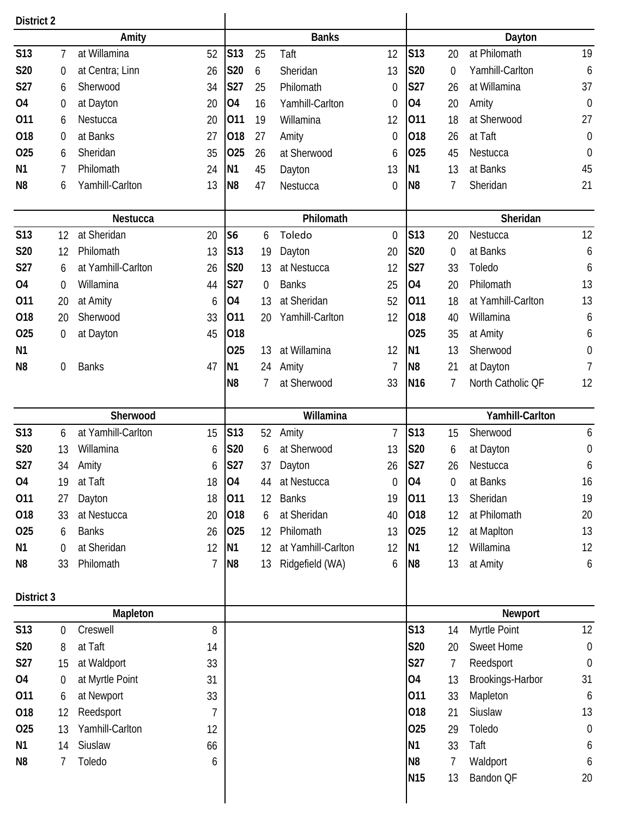| <b>District 2</b> |                  |                         |    |                       |    |                    |                  |                 |                  |                      |                  |
|-------------------|------------------|-------------------------|----|-----------------------|----|--------------------|------------------|-----------------|------------------|----------------------|------------------|
|                   |                  | Amity                   |    |                       |    | <b>Banks</b>       |                  |                 |                  | Dayton               |                  |
| <b>S13</b>        | 7                | at Willamina            | 52 | S13                   | 25 | Taft               | 12               | S13             | 20               | at Philomath         | 19               |
| S20               | $\boldsymbol{0}$ | at Centra; Linn         | 26 | <b>S20</b>            | 6  | Sheridan           | 13               | <b>S20</b>      | $\boldsymbol{0}$ | Yamhill-Carlton      | 6                |
| S27               | 6                | Sherwood                | 34 | <b>S27</b>            | 25 | Philomath          | $\mathbf 0$      | S27             | 26               | at Willamina         | 37               |
| 04                | $\boldsymbol{0}$ | at Dayton               | 20 | 04                    | 16 | Yamhill-Carlton    | 0                | O <sub>4</sub>  | 20               | Amity                | $\boldsymbol{0}$ |
| 011               | 6                | Nestucca                | 20 | 011                   | 19 | Willamina          | 12               | 011             | 18               | at Sherwood          | 27               |
| 018               | $\boldsymbol{0}$ | at Banks                | 27 | 018                   | 27 | Amity              | $\boldsymbol{0}$ | 018             | 26               | at Taft              | $\mathbf 0$      |
| 025               | 6                | Sheridan                | 35 | 025                   | 26 | at Sherwood        | 6                | 025             | 45               | Nestucca             | $\mathbf 0$      |
| N <sub>1</sub>    | 7                | Philomath               | 24 | N <sub>1</sub>        | 45 | Dayton             | 13               | N <sub>1</sub>  | 13               | at Banks             | 45               |
| N <sub>8</sub>    | 6                | Yamhill-Carlton         | 13 | N <sub>8</sub>        | 47 | Nestucca           | $\boldsymbol{0}$ | N <sub>8</sub>  | 7                | Sheridan             | 21               |
|                   |                  |                         |    |                       |    |                    |                  |                 |                  |                      |                  |
|                   |                  | Nestucca<br>at Sheridan |    |                       |    | Philomath          |                  | <b>S13</b>      |                  | Sheridan             |                  |
| S13<br><b>S20</b> | 12               | Philomath               | 20 | S <sub>6</sub><br>S13 | 6  | Toledo             | $\mathbf 0$      | <b>S20</b>      | 20               | Nestucca<br>at Banks | 12               |
|                   | 12               |                         | 13 |                       | 19 | Dayton             | 20               |                 | $\overline{0}$   |                      | 6                |
| S27               | 6                | at Yamhill-Carlton      | 26 | S20                   | 13 | at Nestucca        | 12               | S27<br>04       | 33               | Toledo<br>Philomath  | 6                |
| 04                | $\mathbf 0$      | Willamina               | 44 | S27                   | 0  | <b>Banks</b>       | 25               |                 | 20               |                      | 13               |
| 011               | 20               | at Amity                | 6  | O <sub>4</sub>        | 13 | at Sheridan        | 52               | 011             | 18               | at Yamhill-Carlton   | 13               |
| 018               | 20               | Sherwood                | 33 | 011                   | 20 | Yamhill-Carlton    | 12               | 018             | 40               | Willamina            | 6                |
| 025               | 0                | at Dayton               | 45 | 018                   |    |                    |                  | 025             | 35               | at Amity             | 6                |
| N <sub>1</sub>    |                  |                         |    | 025                   | 13 | at Willamina       | 12               | N <sub>1</sub>  | 13               | Sherwood             | $\boldsymbol{0}$ |
| N <sub>8</sub>    | 0                | <b>Banks</b>            | 47 | N <sub>1</sub>        | 24 | Amity              | 7                | N <sub>8</sub>  | 21               | at Dayton            | $\overline{7}$   |
|                   |                  |                         |    | N <sub>8</sub>        | 7  | at Sherwood        | 33               | N <sub>16</sub> | 7                | North Catholic QF    | 12               |
|                   |                  | Sherwood                |    |                       |    | Willamina          |                  |                 |                  | Yamhill-Carlton      |                  |
| <b>S13</b>        | 6                | at Yamhill-Carlton      | 15 | S13                   | 52 | Amity              | $\overline{1}$   | S13             | 15               | Sherwood             | 6                |
| S20               | 13               | Willamina               | 6  | S20                   | 6  | at Sherwood        | 13               | S20             | 6                | at Dayton            | $\boldsymbol{0}$ |
| S27               | 34               | Amity                   | 6  | S27                   | 37 | Dayton             | 26               | S27             | 26               | Nestucca             | 6                |
| <b>O4</b>         | 19               | at Taft                 | 18 | 04                    | 44 | at Nestucca        | $\mathbf 0$      | 04              | $\boldsymbol{0}$ | at Banks             | 16               |
| 011               | 27               | Dayton                  | 18 | 011                   | 12 | <b>Banks</b>       | 19               | 011             | 13               | Sheridan             | 19               |
| 018               | 33               | at Nestucca             | 20 | 018                   | 6  | at Sheridan        | 40               | 018             | 12               | at Philomath         | 20               |
| 025               | 6                | <b>Banks</b>            | 26 | 025                   | 12 | Philomath          | 13               | 025             | 12               | at MapIton           | 13               |
| N <sub>1</sub>    | $\mathbf 0$      | at Sheridan             | 12 | <b>N1</b>             | 12 | at Yamhill-Carlton | 12               | N <sub>1</sub>  | 12               | Willamina            | 12               |
| N8                | 33               | Philomath               | 7  | N <sub>8</sub>        | 13 | Ridgefield (WA)    | 6                | N <sub>8</sub>  | 13               | at Amity             | 6                |
|                   |                  |                         |    |                       |    |                    |                  |                 |                  |                      |                  |
| District 3        |                  |                         |    |                       |    |                    |                  |                 |                  |                      |                  |
|                   |                  | Mapleton                |    |                       |    |                    |                  |                 |                  | Newport              |                  |
| <b>S13</b>        | $\boldsymbol{0}$ | Creswell                | 8  |                       |    |                    |                  | <b>S13</b>      | 14               | Myrtle Point         | 12               |
| S20               | 8                | at Taft                 | 14 |                       |    |                    |                  | S20             | 20               | Sweet Home           | $\mathbf 0$      |
| <b>S27</b>        | 15               | at Waldport             | 33 |                       |    |                    |                  | S27             | 7                | Reedsport            | $\mathbf 0$      |
| <b>O4</b>         | $\boldsymbol{0}$ | at Myrtle Point         | 31 |                       |    |                    |                  | O <sub>4</sub>  | 13               | Brookings-Harbor     | 31               |
| 011               | 6                | at Newport              | 33 |                       |    |                    |                  | 011             | 33               | Mapleton             | 6                |
| 018               | 12               | Reedsport               | 7  |                       |    |                    |                  | 018             | 21               | Siuslaw              | 13               |
| 025               | 13               | Yamhill-Carlton         | 12 |                       |    |                    |                  | 025             | 29               | Toledo               | $\boldsymbol{0}$ |
| N <sub>1</sub>    | 14               | Siuslaw                 | 66 |                       |    |                    |                  | <b>N1</b>       | 33               | Taft                 | 6                |
| N <sub>8</sub>    | 7                | Toledo                  | 6  |                       |    |                    |                  | N <sub>8</sub>  | 7                | Waldport             | 6                |
|                   |                  |                         |    |                       |    |                    |                  | <b>N15</b>      | 13               | Bandon QF            | 20               |
|                   |                  |                         |    |                       |    |                    |                  |                 |                  |                      |                  |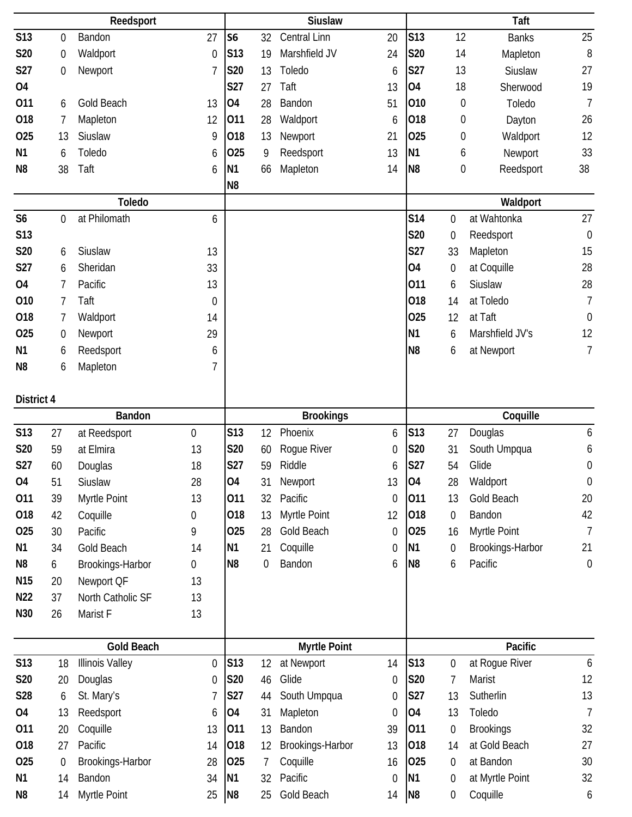|                 |                  | Reedsport              |                  |                             |          | <b>Siuslaw</b>        |                  |                             |                       | Taft                        |                  |
|-----------------|------------------|------------------------|------------------|-----------------------------|----------|-----------------------|------------------|-----------------------------|-----------------------|-----------------------------|------------------|
| <b>S13</b>      | $\boldsymbol{0}$ | Bandon                 | 27               | S <sub>6</sub>              | 32       | Central Linn          | 20               | <b>S13</b>                  | 12                    | <b>Banks</b>                | 25               |
| S20             | $\boldsymbol{0}$ | Waldport               | $\mathbf 0$      | S13                         | 19       | Marshfield JV         | 24               | <b>S20</b>                  | 14                    | Mapleton                    | $\, 8$           |
| S27             | $\mathbf 0$      | Newport                | 7                | S20                         | 13       | Toledo                | 6                | <b>S27</b>                  | 13                    | Siuslaw                     | 27               |
| 04              |                  |                        |                  | S27                         | 27       | Taft                  | 13               | <b>O4</b>                   | 18                    | Sherwood                    | 19               |
| 011             | 6                | Gold Beach             | 13               | <b>O4</b>                   | 28       | Bandon                | 51               | 010                         | $\boldsymbol{0}$      | Toledo                      | $\overline{7}$   |
| 018             | 7                | Mapleton               | 12               | 011                         | 28       | Waldport              | 6                | 018                         | $\boldsymbol{0}$      | Dayton                      | 26               |
| 025             | 13               | Siuslaw                | 9                | 018                         | 13       | Newport               | 21               | 025                         | $\boldsymbol{0}$      | Waldport                    | 12               |
| N <sub>1</sub>  | 6                | Toledo                 | 6                | 025                         | 9        | Reedsport             | 13               | <b>N1</b>                   | 6                     | Newport                     | 33               |
| N <sub>8</sub>  | 38               | Taft                   | 6                | N1                          | 66       | Mapleton              | 14               | N <sub>8</sub>              | $\boldsymbol{0}$      | Reedsport                   | 38               |
|                 |                  |                        |                  | N <sub>8</sub>              |          |                       |                  |                             |                       |                             |                  |
|                 |                  | <b>Toledo</b>          |                  |                             |          |                       |                  |                             |                       | Waldport                    |                  |
| S <sub>6</sub>  | $\mathbf 0$      | at Philomath           | 6                |                             |          |                       |                  | <b>S14</b>                  | 0                     | at Wahtonka                 | 27               |
| S <sub>13</sub> |                  |                        |                  |                             |          |                       |                  | <b>S20</b>                  | 0                     | Reedsport                   | $\mathbf 0$      |
| <b>S20</b>      | 6                | Siuslaw                | 13               |                             |          |                       |                  | S27                         | 33                    | Mapleton                    | 15               |
| S27             | 6                | Sheridan               | 33               |                             |          |                       |                  | 04                          | 0                     | at Coquille                 | 28               |
| <b>O4</b>       | 7                | Pacific                | 13               |                             |          |                       |                  | 011                         | 6                     | Siuslaw                     | 28               |
| 010             | 7                | Taft                   | $\mathbf 0$      |                             |          |                       |                  | 018                         | 14                    | at Toledo                   | $\overline{7}$   |
| 018             | 7                | Waldport               | 14               |                             |          |                       |                  | 025                         | 12                    | at Taft                     | $\boldsymbol{0}$ |
| 025             | $\boldsymbol{0}$ | Newport                | 29               |                             |          |                       |                  | N <sub>1</sub>              | 6                     | Marshfield JV's             | 12               |
| <b>N1</b>       | 6                | Reedsport              | 6                |                             |          |                       |                  | N <sub>8</sub>              | 6                     | at Newport                  | $\overline{1}$   |
| N <sub>8</sub>  | 6                | Mapleton               | 7                |                             |          |                       |                  |                             |                       |                             |                  |
|                 |                  |                        |                  |                             |          |                       |                  |                             |                       |                             |                  |
| District 4      |                  |                        |                  |                             |          |                       |                  |                             |                       |                             |                  |
|                 |                  | <b>Bandon</b>          |                  |                             |          | <b>Brookings</b>      |                  |                             |                       | Coquille                    |                  |
| S13             | 27               | at Reedsport           | $\boldsymbol{0}$ | S13                         | 12       | Phoenix               | 6                | S13                         | 27                    | Douglas                     | 6                |
| S20             | 59               | at Elmira              | 13               | S20                         | 60       | Rogue River           | 0                | S20                         | 31                    | South Umpqua                | 6                |
| S27             | 60               | Douglas                | 18               | S27                         | 59       | Riddle                | 6                | <b>S27</b>                  | 54                    | Glide                       | $\boldsymbol{0}$ |
| <b>O4</b>       | 51               | Siuslaw                | 28               | 04                          | 31       | Newport               | 13               | 04                          | 28                    | Waldport                    | $\mathbf 0$      |
| 011             | 39               | Myrtle Point           | 13               | 011                         | 32       | Pacific               | $\boldsymbol{0}$ | 011                         | 13                    | Gold Beach                  | 20               |
| 018             | 42               | Coquille               | 0                | 018                         | 13       | Myrtle Point          | 12               | 018                         | 0                     | Bandon                      | 42               |
| 025             | 30               | Pacific                | 9                | 025                         | 28       | Gold Beach            | 0                | 025                         | 16                    | Myrtle Point                | $\overline{1}$   |
| N1              | 34               | Gold Beach             | 14               | <b>N1</b>                   | 21       | Coquille              | 0                | <b>N1</b>                   | 0                     | Brookings-Harbor            | 21               |
| N <sub>8</sub>  | 6                | Brookings-Harbor       | 0                | N <sub>8</sub>              | 0        | Bandon                | 6                | N <sub>8</sub>              | 6                     | Pacific                     | $\mathbf 0$      |
| N <sub>15</sub> | 20               | Newport QF             | 13               |                             |          |                       |                  |                             |                       |                             |                  |
| N <sub>22</sub> | 37               | North Catholic SF      | 13               |                             |          |                       |                  |                             |                       |                             |                  |
| N30             | 26               | Marist F               | 13               |                             |          |                       |                  |                             |                       |                             |                  |
|                 |                  |                        |                  |                             |          |                       |                  |                             |                       |                             |                  |
|                 |                  | <b>Gold Beach</b>      |                  |                             |          | <b>Myrtle Point</b>   |                  |                             |                       | Pacific                     |                  |
| <b>S13</b>      | 18               | <b>Illinois Valley</b> | $\mathbf 0$      | S <sub>13</sub>             | 12       | at Newport            | 14               | S13                         | $\boldsymbol{0}$      | at Rogue River              | 6                |
| S20             | 20               | Douglas                | 0                | <b>S20</b>                  | 46       | Glide                 | 0                | S20                         | 7                     | Marist                      | 12               |
| <b>S28</b>      | 6                | St. Mary's             | 7                | S27                         | 44       | South Umpqua          | 0                | S27                         | 13                    | Sutherlin                   | 13               |
| 04              | 13               | Reedsport              | 6                | O4                          | 31       | Mapleton              | $\mathbf 0$      | <b>O4</b>                   | 13                    | Toledo                      | $\overline{1}$   |
| 011             | 20               | Coquille               | 13               | 011                         | 13       | Bandon                | 39               | 011                         | 0                     | <b>Brookings</b>            | 32               |
| 018             | 27               | Pacific                | 14               | 018                         | 12       | Brookings-Harbor      | 13               | 018                         | 14                    | at Gold Beach               | 27               |
| 025             | $\boldsymbol{0}$ | Brookings-Harbor       | 28               | 025                         | 7        | Coquille              | 16               | 025                         | 0                     | at Bandon                   | 30               |
| N <sub>1</sub>  |                  |                        |                  |                             |          |                       |                  |                             |                       |                             |                  |
| N <sub>8</sub>  | 14<br>14         | Bandon<br>Myrtle Point | 34<br>25         | <b>N1</b><br>N <sub>8</sub> | 32<br>25 | Pacific<br>Gold Beach | 0<br>14          | <b>N1</b><br>N <sub>8</sub> | 0<br>$\boldsymbol{0}$ | at Myrtle Point<br>Coquille | 32<br>6          |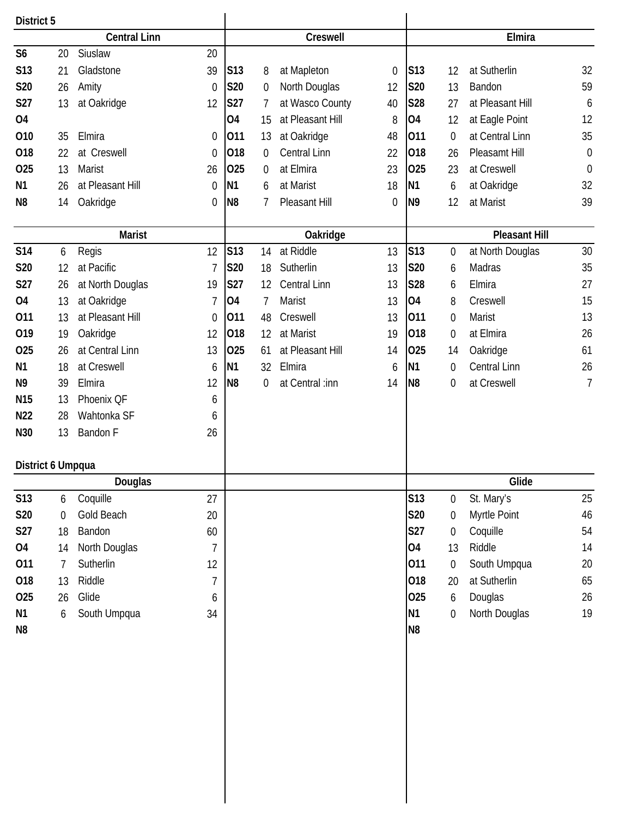| District 5        |                  |                        |                  |                |                  |                     |                  |                |                  |                      |                  |
|-------------------|------------------|------------------------|------------------|----------------|------------------|---------------------|------------------|----------------|------------------|----------------------|------------------|
|                   |                  | <b>Central Linn</b>    |                  |                |                  | Creswell            |                  |                |                  | Elmira               |                  |
| S <sub>6</sub>    | 20               | Siuslaw                | 20               |                |                  |                     |                  |                |                  |                      |                  |
| S13               | 21               | Gladstone<br>39        |                  | S13            | 8                | at Mapleton         | $\boldsymbol{0}$ | S13            | 12               | at Sutherlin         | 32               |
| <b>S20</b>        | 26               | Amity                  | $\mathbf 0$      | S20            | $\boldsymbol{0}$ | North Douglas       | 12               | <b>S20</b>     | 13               | Bandon               | 59               |
| <b>S27</b>        | 13               | at Oakridge            | 12               | <b>S27</b>     | 7                | at Wasco County     | 40               | <b>S28</b>     | 27               | at Pleasant Hill     | 6                |
| <b>O4</b>         |                  |                        |                  | 04             | 15               | at Pleasant Hill    | 8                | <b>O4</b>      | 12               | at Eagle Point       | 12               |
| 010               | 35               | Elmira                 | $\boldsymbol{0}$ | 011            | 13               | at Oakridge         | 48               | 011            | $\boldsymbol{0}$ | at Central Linn      | 35               |
| 018               | 22               | at Creswell            | $\boldsymbol{0}$ | 018            | $\boldsymbol{0}$ | Central Linn        | 22               | 018            | 26               | Pleasamt Hill        | $\boldsymbol{0}$ |
| 025               | 13               | Marist<br>26           |                  | 025            | $\mathbf 0$      | at Elmira           | 23               | 025            | 23               | at Creswell          | $\boldsymbol{0}$ |
| N <sub>1</sub>    | 26               | at Pleasant Hill       | $\mathbf 0$      | N1             | 6                | at Marist           | 18               | N <sub>1</sub> | 6                | at Oakridge          | 32               |
| N <sub>8</sub>    | 14               | Oakridge               | $\mathbf 0$      | N <sub>8</sub> | 7                | Pleasant Hill       | $\boldsymbol{0}$ | N <sub>9</sub> | 12               | at Marist            | 39               |
|                   |                  |                        |                  |                |                  |                     |                  |                |                  |                      |                  |
|                   |                  | <b>Marist</b>          |                  |                |                  | Oakridge            |                  |                |                  | <b>Pleasant Hill</b> |                  |
| <b>S14</b>        | 6                | Regis<br>12            |                  | S13            | 14               | at Riddle           | 13               | <b>S13</b>     | $\boldsymbol{0}$ | at North Douglas     | 30               |
| S20               | 12               | at Pacific             | $\overline{7}$   | S20            | 18               | Sutherlin           | 13               | <b>S20</b>     | 6                | Madras               | 35               |
| <b>S27</b>        | 26               | at North Douglas<br>19 |                  | <b>S27</b>     | 12               | <b>Central Linn</b> | 13               | <b>S28</b>     | 6                | Elmira               | 27               |
| 04                | 13               | at Oakridge            | 7                | 04             | 7                | Marist              | 13               | <b>O4</b>      | 8                | Creswell             | 15               |
| 011               | 13               | at Pleasant Hill       | $\mathbf 0$      | 011            | 48               | Creswell            | 13               | 011            | $\boldsymbol{0}$ | Marist               | 13               |
| 019               | 19               | Oakridge<br>12         |                  | 018            | 12               | at Marist           | 19               | 018            | $\boldsymbol{0}$ | at Elmira            | 26               |
| 025               | 26               | at Central Linn<br>13  |                  | 025            | 61               | at Pleasant Hill    | 14               | 025            | 14               | Oakridge             | 61               |
| N <sub>1</sub>    | 18               | at Creswell            | 6                | N <sub>1</sub> | 32               | Elmira              | 6                | N <sub>1</sub> | $\mathbf 0$      | Central Linn         | 26               |
| N <sub>9</sub>    | 39               | Elmira<br>12           |                  | N <sub>8</sub> | 0                | at Central :inn     | 14               | N <sub>8</sub> | 0                | at Creswell          | $\overline{7}$   |
| N <sub>15</sub>   | 13               | Phoenix QF             | 6                |                |                  |                     |                  |                |                  |                      |                  |
| N22               | 28               | Wahtonka SF            | 6                |                |                  |                     |                  |                |                  |                      |                  |
| N30               | 13               | Bandon F<br>26         |                  |                |                  |                     |                  |                |                  |                      |                  |
|                   |                  |                        |                  |                |                  |                     |                  |                |                  |                      |                  |
| District 6 Umpqua |                  | <b>Douglas</b>         |                  |                |                  |                     |                  |                |                  | Glide                |                  |
| S13               | 6                | Coquille               | 27               |                |                  |                     |                  | <b>S13</b>     | $\boldsymbol{0}$ | St. Mary's           | 25               |
| <b>S20</b>        | $\boldsymbol{0}$ | Gold Beach             | 20               |                |                  |                     |                  | <b>S20</b>     | 0                | Myrtle Point         | 46               |
| S27               | 18               | Bandon                 | 60               |                |                  |                     |                  | <b>S27</b>     | $\boldsymbol{0}$ | Coquille             | 54               |
| 04                | 14               | North Douglas          | $\overline{7}$   |                |                  |                     |                  | <b>O4</b>      | 13               | Riddle               | 14               |
| 011               | $\overline{7}$   | Sutherlin              | 12               |                |                  |                     |                  | 011            | $\boldsymbol{0}$ |                      | 20               |
|                   |                  |                        |                  |                |                  |                     |                  |                |                  | South Umpqua         |                  |
| 018               | 13               | Riddle                 | 7                |                |                  |                     |                  | 018<br>025     | 20               | at Sutherlin         | 65               |
| 025               | 26               | Glide                  | 6                |                |                  |                     |                  |                | 6                | Douglas              | 26               |
| N <sub>1</sub>    | 6                | South Umpqua<br>34     |                  |                |                  |                     |                  | N <sub>1</sub> | $\boldsymbol{0}$ | North Douglas        | 19               |
| N8                |                  |                        |                  |                |                  |                     |                  | N <sub>8</sub> |                  |                      |                  |
|                   |                  |                        |                  |                |                  |                     |                  |                |                  |                      |                  |
|                   |                  |                        |                  |                |                  |                     |                  |                |                  |                      |                  |
|                   |                  |                        |                  |                |                  |                     |                  |                |                  |                      |                  |
|                   |                  |                        |                  |                |                  |                     |                  |                |                  |                      |                  |
|                   |                  |                        |                  |                |                  |                     |                  |                |                  |                      |                  |
|                   |                  |                        |                  |                |                  |                     |                  |                |                  |                      |                  |
|                   |                  |                        |                  |                |                  |                     |                  |                |                  |                      |                  |
|                   |                  |                        |                  |                |                  |                     |                  |                |                  |                      |                  |
|                   |                  |                        |                  |                |                  |                     |                  |                |                  |                      |                  |
|                   |                  |                        |                  |                |                  |                     |                  |                |                  |                      |                  |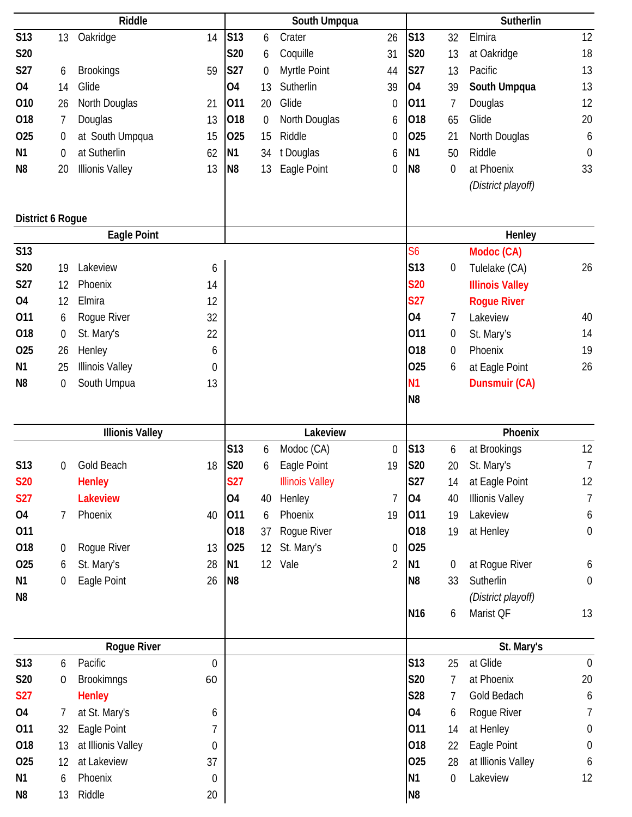|                  |                  | Riddle                 |                  |                 |                   | South Umpqua           |                  |                 |                  | Sutherlin              |                  |
|------------------|------------------|------------------------|------------------|-----------------|-------------------|------------------------|------------------|-----------------|------------------|------------------------|------------------|
| S13              | 13               | Oakridge               | 14               | S <sub>13</sub> | 6                 | Crater                 | 26               | S13             | 32               | Elmira                 | 12               |
| S20              |                  |                        |                  | S20             | 6                 | Coquille               | 31               | <b>S20</b>      | 13               | at Oakridge            | 18               |
| <b>S27</b>       | 6                | <b>Brookings</b>       | 59               | <b>S27</b>      | $\mathbf 0$       | Myrtle Point           | 44               | <b>S27</b>      | 13               | Pacific                | 13               |
| 04               | 14               | Glide                  |                  | <b>O4</b>       | 13                | Sutherlin              | 39               | <b>O4</b>       | 39               | South Umpqua           | 13               |
| 010              | 26               | North Douglas          | 21               | 011             | 20                | Glide                  | 0                | 011             | 7                | Douglas                | 12               |
| 018              | 7                | Douglas                | 13               | 018             | $\boldsymbol{0}$  | North Douglas          | 6                | 018             | 65               | Glide                  | 20               |
| 025              | $\boldsymbol{0}$ | at South Umpqua        | 15               | 025             | 15                | Riddle                 | 0                | 025             | 21               | North Douglas          | 6                |
| N <sub>1</sub>   | $\boldsymbol{0}$ | at Sutherlin           | 62               | N <sub>1</sub>  | 34                | t Douglas              | 6                | N <sub>1</sub>  | 50               | Riddle                 | $\mathbf 0$      |
| N <sub>8</sub>   | 20               | <b>Illionis Valley</b> | 13               | N <sub>8</sub>  | 13                | Eagle Point            | 0                | N <sub>8</sub>  | 0                | at Phoenix             | 33               |
|                  |                  |                        |                  |                 |                   |                        |                  |                 |                  | (District playoff)     |                  |
|                  |                  |                        |                  |                 |                   |                        |                  |                 |                  |                        |                  |
| District 6 Rogue |                  |                        |                  |                 |                   |                        |                  |                 |                  |                        |                  |
|                  |                  | <b>Eagle Point</b>     |                  |                 |                   |                        |                  |                 |                  | Henley                 |                  |
| <b>S13</b>       |                  |                        |                  |                 |                   |                        |                  | S6              |                  | Modoc (CA)             |                  |
| S20              | 19               | Lakeview               | 6                |                 |                   |                        |                  | S13             | $\boldsymbol{0}$ | Tulelake (CA)          | 26               |
| S27              | 12               | Phoenix                | 14               |                 |                   |                        |                  | <b>S20</b>      |                  | <b>Illinois Valley</b> |                  |
| 04               | 12               | Elmira                 | 12               |                 |                   |                        |                  | <b>S27</b>      |                  | <b>Rogue River</b>     |                  |
| 011              | 6                | Rogue River            | 32               |                 |                   |                        |                  | 04              | 7                | Lakeview               | 40               |
| 018              | $\boldsymbol{0}$ | St. Mary's             | 22               |                 |                   |                        |                  | 011             | 0                | St. Mary's             | 14               |
| 025              | 26               | Henley                 | 6                |                 |                   |                        |                  | 018             | $\boldsymbol{0}$ | Phoenix                | 19               |
| N <sub>1</sub>   | 25               | <b>Illinois Valley</b> | 0                |                 |                   |                        |                  | 025             | 6                | at Eagle Point         | 26               |
| N <sub>8</sub>   | $\boldsymbol{0}$ | South Umpua            | 13               |                 |                   |                        |                  | N <sub>1</sub>  |                  | <b>Dunsmuir (CA)</b>   |                  |
|                  |                  |                        |                  |                 |                   |                        |                  | N <sub>8</sub>  |                  |                        |                  |
|                  |                  |                        |                  |                 |                   |                        |                  |                 |                  |                        |                  |
|                  |                  |                        |                  |                 |                   |                        |                  |                 |                  |                        |                  |
|                  |                  | <b>Illionis Valley</b> |                  |                 |                   | Lakeview               |                  |                 |                  | Phoenix                |                  |
|                  |                  |                        |                  | S13             | 6                 | Modoc (CA)             | $\boldsymbol{0}$ | S13             | 6                | at Brookings           | 12               |
| S13              | 0                | Gold Beach             | 18               | S20             | 6                 | Eagle Point            | 19               | <b>S20</b>      | 20               | St. Mary's             | $\overline{7}$   |
| <b>S20</b>       |                  | <b>Henley</b>          |                  | <b>S27</b>      |                   | <b>Illinois Valley</b> |                  | S27             | 14               | at Eagle Point         | 12               |
| <b>S27</b>       |                  | <b>Lakeview</b>        |                  | 04              | 40                | Henley                 | $\overline{1}$   | <b>O4</b>       | 40               | <b>Illionis Valley</b> | $\overline{7}$   |
| <b>O4</b>        | 7                | Phoenix                | 40               | 011             | 6                 | Phoenix                | 19               | 011             | 19               | Lakeview               | 6                |
| 011              |                  |                        |                  | 018             | 37                | Rogue River            |                  | 018             | 19               | at Henley              | $\mathbf 0$      |
| 018              | $\boldsymbol{0}$ | Rogue River            | 13               | 025             | $12 \overline{ }$ | St. Mary's             | $\boldsymbol{0}$ | 025             |                  |                        |                  |
| 025              | 6                | St. Mary's             | 28               | N <sub>1</sub>  | 12 <sup>°</sup>   | Vale                   | $\overline{2}$   | N <sub>1</sub>  | $\boldsymbol{0}$ | at Rogue River         | 6                |
| N <sub>1</sub>   | $\boldsymbol{0}$ | Eagle Point            | 26               | N <sub>8</sub>  |                   |                        |                  | N <sub>8</sub>  | 33               | Sutherlin              | $\boldsymbol{0}$ |
| N <sub>8</sub>   |                  |                        |                  |                 |                   |                        |                  |                 |                  | (District playoff)     |                  |
|                  |                  |                        |                  |                 |                   |                        |                  | N <sub>16</sub> | 6                | Marist QF              | 13               |
|                  |                  | <b>Rogue River</b>     |                  |                 |                   |                        |                  |                 |                  | St. Mary's             |                  |
| S13              | 6                | Pacific                | $\boldsymbol{0}$ |                 |                   |                        |                  | S13             | 25               | at Glide               | $\mathbf 0$      |
| S20              | 0                | <b>Brookimngs</b>      | 60               |                 |                   |                        |                  | S20             | 7                | at Phoenix             | 20               |
| <b>S27</b>       |                  | <b>Henley</b>          |                  |                 |                   |                        |                  | S28             | $\overline{1}$   | Gold Bedach            | 6                |
| 04               | 7                | at St. Mary's          | 6                |                 |                   |                        |                  | O4              | 6                | Rogue River            | 7                |
| 011              | 32               | Eagle Point            | 7                |                 |                   |                        |                  | 011             | 14               | at Henley              | $\boldsymbol{0}$ |
| 018              | 13               | at Illionis Valley     | 0                |                 |                   |                        |                  | 018             | 22               | Eagle Point            | $\boldsymbol{0}$ |
| 025              | 12               | at Lakeview            | 37               |                 |                   |                        |                  | 025             | 28               | at Illionis Valley     | 6                |
| N <sub>1</sub>   | 6                | Phoenix                | $\boldsymbol{0}$ |                 |                   |                        |                  | N <sub>1</sub>  | $\boldsymbol{0}$ | Lakeview               | 12               |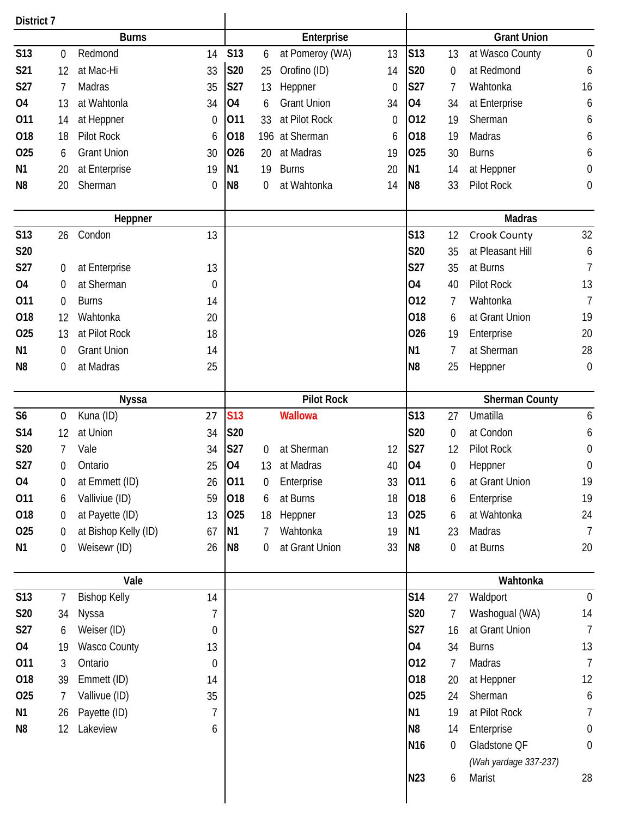| District 7                            |    |                      |                  |                 |     |                    |                  |                 |                  |                       |                  |  |
|---------------------------------------|----|----------------------|------------------|-----------------|-----|--------------------|------------------|-----------------|------------------|-----------------------|------------------|--|
|                                       |    | <b>Burns</b>         |                  |                 |     | Enterprise         |                  |                 |                  | <b>Grant Union</b>    |                  |  |
| S13                                   | 0  | Redmond              | 14               | <b>S13</b>      | 6   | at Pomeroy (WA)    | 13               | S13             | 13               | at Wasco County       | $\mathbf 0$      |  |
| S21                                   | 12 | at Mac-Hi            | 33               | <b>S20</b>      | 25  | Orofino (ID)       | 14               | <b>S20</b>      | $\boldsymbol{0}$ | at Redmond            | 6                |  |
| S27                                   | 7  | Madras               | 35               | S27             | 13  | Heppner            | $\boldsymbol{0}$ | S27             | 7                | Wahtonka              | 16               |  |
| <b>04</b>                             | 13 | at Wahtonla          | 34               | 04              | 6   | <b>Grant Union</b> | 34               | <b>O4</b>       | 34               | at Enterprise         | 6                |  |
| 011                                   | 14 | at Heppner           | 0                | 011             | 33  | at Pilot Rock      | 0                | 012             | 19               | Sherman               | 6                |  |
| 018                                   | 18 | Pilot Rock           | 6                | 018             | 196 | at Sherman         | 6                | 018             | 19               | <b>Madras</b>         | 6                |  |
| 025                                   | 6  | <b>Grant Union</b>   | 30               | 026             | 20  | at Madras          | 19               | 025             | 30               | <b>Burns</b>          | 6                |  |
| N <sub>1</sub>                        | 20 | at Enterprise        | 19               | N <sub>1</sub>  | 19  | <b>Burns</b>       | 20               | N <sub>1</sub>  | 14               | at Heppner            | $\boldsymbol{0}$ |  |
| N <sub>8</sub>                        | 20 | Sherman              | $\boldsymbol{0}$ | N <sub>8</sub>  | 0   | at Wahtonka        | 14               | N <sub>8</sub>  | 33               | Pilot Rock            | $\boldsymbol{0}$ |  |
|                                       |    |                      |                  |                 |     |                    |                  |                 |                  |                       |                  |  |
| Heppner                               |    |                      |                  |                 |     |                    |                  |                 |                  | <b>Madras</b>         |                  |  |
| <b>S13</b>                            | 26 | Condon               | 13               |                 |     |                    |                  | <b>S13</b>      | 12               | Crook County          | 32               |  |
| S20                                   |    |                      |                  |                 |     |                    |                  | <b>S20</b>      | 35               | at Pleasant Hill      | 6                |  |
| S27                                   | 0  | at Enterprise        | 13               |                 |     |                    |                  | S27             | 35               | at Burns              | $\overline{7}$   |  |
| <b>O4</b>                             | 0  | at Sherman           | $\mathbf 0$      |                 |     |                    |                  | 04              | 40               | Pilot Rock            | 13               |  |
| 011                                   | 0  | <b>Burns</b>         | 14               |                 |     |                    |                  | 012             | 7                | Wahtonka              | $\overline{7}$   |  |
| 018                                   | 12 | Wahtonka             | 20               |                 |     |                    |                  | 018             | 6                | at Grant Union        | 19               |  |
| O <sub>25</sub>                       | 13 | at Pilot Rock        | 18               |                 |     |                    |                  | 026             | 19               | Enterprise            | 20               |  |
| N <sub>1</sub>                        | 0  | <b>Grant Union</b>   | 14               |                 |     |                    |                  | N <sub>1</sub>  | 7                | at Sherman            | 28               |  |
| N <sub>8</sub>                        | 0  | at Madras            | 25               |                 |     |                    |                  | N <sub>8</sub>  | 25               | Heppner               | $\mathbf 0$      |  |
|                                       |    |                      |                  |                 |     |                    |                  |                 |                  |                       |                  |  |
|                                       |    | <b>Nyssa</b>         |                  |                 |     | <b>Pilot Rock</b>  |                  |                 |                  | <b>Sherman County</b> |                  |  |
| S <sub>6</sub>                        | 0  | Kuna (ID)            | 27               | S <sub>13</sub> |     | <b>Wallowa</b>     |                  | <b>S13</b>      | 27               | Umatilla              | $\boldsymbol{6}$ |  |
| S14                                   | 12 | at Union             | 34               | S20             |     |                    |                  | <b>S20</b>      | 0                | at Condon             | 6                |  |
| S20                                   | 7  | Vale                 | 34               | S27             | 0   | at Sherman         | 12               | S27             | 12               | Pilot Rock            | $\boldsymbol{0}$ |  |
| S27                                   | 0  | Ontario              | 25               | <b>O4</b>       | 13  | at Madras          | 40               | <b>O4</b>       | 0                | Heppner               | $\boldsymbol{0}$ |  |
| 04                                    | 0  | at Emmett (ID)       | 26               | 011             | 0   | Enterprise         | 33               | 011             | 6                | at Grant Union        | 19               |  |
| 011                                   | 6  | Valliviue (ID)       | 59               | 018             | 6   | at Burns           | 18               | 018             | 6                | Enterprise            | 19               |  |
| 018                                   | 0  | at Payette (ID)      | 13               | 025             | 18  | Heppner            | 13               | 025             | 6                | at Wahtonka           | 24               |  |
| 025                                   | 0  | at Bishop Kelly (ID) | 67               | N <sub>1</sub>  | 7   | Wahtonka           | 19               | N <sub>1</sub>  | 23               | Madras                | $\overline{7}$   |  |
| N1                                    | 0  | Weisewr (ID)         | 26               | N <sub>8</sub>  | 0   | at Grant Union     | 33               | N <sub>8</sub>  | 0                | at Burns              | 20               |  |
|                                       |    | Vale                 |                  |                 |     |                    |                  |                 | Wahtonka         |                       |                  |  |
| S13<br><b>Bishop Kelly</b><br>14<br>7 |    |                      |                  |                 |     |                    |                  | <b>S14</b>      | 27               | Waldport              | $\overline{0}$   |  |
| <b>S20</b>                            | 34 |                      | 7                |                 |     |                    |                  | S20             | 7                | Washogual (WA)        | 14               |  |
| S27                                   |    | Nyssa                |                  |                 |     |                    |                  | <b>S27</b>      |                  | at Grant Union        | $\overline{7}$   |  |
|                                       | 6  | Weiser (ID)          | 0                |                 |     |                    |                  | 04              | 16               |                       |                  |  |
| 04                                    | 19 | <b>Wasco County</b>  | 13               |                 |     |                    |                  |                 | 34               | <b>Burns</b>          | 13               |  |
| 011                                   | 3  | Ontario              | $\boldsymbol{0}$ |                 |     |                    |                  | 012             | 7                | Madras                | $\overline{7}$   |  |
| 018                                   | 39 | Emmett (ID)          | 14               |                 |     |                    |                  | 018             | 20               | at Heppner            | 12               |  |
| 025                                   | 7  | Vallivue (ID)        | 35               |                 |     |                    |                  | 025             | 24               | Sherman               | 6                |  |
| N1                                    | 26 | Payette (ID)         | 7                |                 |     |                    |                  | N <sub>1</sub>  | 19               | at Pilot Rock         | 7                |  |
| N <sub>8</sub>                        | 12 | Lakeview             | 6                |                 |     |                    |                  | N <sub>8</sub>  | 14               | Enterprise            | $\mathbf 0$      |  |
|                                       |    |                      |                  |                 |     |                    |                  | N <sub>16</sub> | 0                | Gladstone QF          | $\boldsymbol{0}$ |  |
|                                       |    |                      |                  |                 |     |                    |                  |                 |                  | (Wah yardage 337-237) |                  |  |
|                                       |    |                      |                  |                 |     |                    |                  | N23             | 6                | Marist                | 28               |  |
|                                       |    |                      |                  |                 |     |                    |                  |                 |                  |                       |                  |  |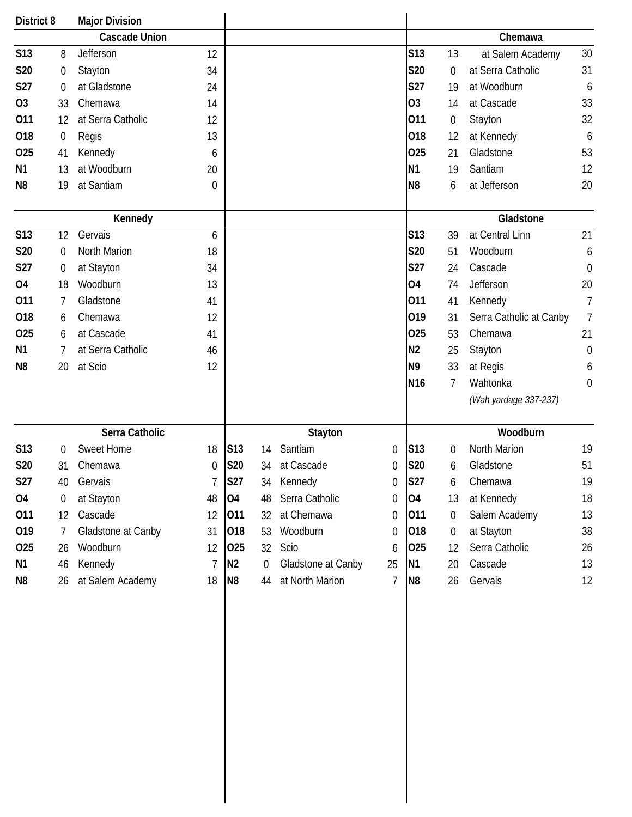| District 8     |                  | <b>Major Division</b> |             |                |                  |                    |             |                 |                  |                         |                  |
|----------------|------------------|-----------------------|-------------|----------------|------------------|--------------------|-------------|-----------------|------------------|-------------------------|------------------|
|                |                  | <b>Cascade Union</b>  |             |                |                  |                    |             |                 |                  | Chemawa                 |                  |
| S13            | 8                | Jefferson             | 12          |                |                  |                    |             | <b>S13</b>      | 13               | at Salem Academy        | 30               |
| S20            | $\boldsymbol{0}$ | Stayton               | 34          |                |                  |                    |             | <b>S20</b>      | $\mathbf 0$      | at Serra Catholic       | 31               |
| <b>S27</b>     | $\mathbf 0$      | at Gladstone          | 24          |                |                  |                    |             | <b>S27</b>      | 19               | at Woodburn             | $\boldsymbol{6}$ |
| O <sub>3</sub> | 33               | Chemawa               | 14          |                |                  |                    |             | <b>O3</b>       | 14               | at Cascade              | 33               |
| 011            | 12               | at Serra Catholic     | 12          |                |                  |                    |             | 011             | $\boldsymbol{0}$ | Stayton                 | 32               |
| 018            | $\boldsymbol{0}$ | Regis                 | 13          |                |                  |                    |             | 018             | 12               | at Kennedy              | $\boldsymbol{6}$ |
| 025            | 41               | Kennedy               | 6           |                |                  |                    |             | 025             | 21               | Gladstone               | 53               |
| N <sub>1</sub> | 13               | at Woodburn           | 20          |                |                  |                    |             | N <sub>1</sub>  | 19               | Santiam                 | 12               |
| N <sub>8</sub> | 19               | at Santiam            | $\mathbf 0$ |                |                  |                    |             | N <sub>8</sub>  | 6                | at Jefferson            | 20               |
|                |                  | Kennedy               |             |                |                  |                    |             |                 |                  | Gladstone               |                  |
| <b>S13</b>     | 12               | Gervais               | 6           |                |                  |                    |             | <b>S13</b>      | 39               | at Central Linn         | 21               |
| S20            | 0                | North Marion          | 18          |                |                  |                    |             | <b>S20</b>      | 51               | Woodburn                | 6                |
| S27            | $\boldsymbol{0}$ | at Stayton            | 34          |                |                  |                    |             | <b>S27</b>      | 24               | Cascade                 | $\boldsymbol{0}$ |
| <b>O4</b>      | 18               | Woodburn              | 13          |                |                  |                    |             | <b>O4</b>       | 74               | Jefferson               | 20               |
| 011            | 7                | Gladstone             | 41          |                |                  |                    |             | 011             | 41               | Kennedy                 | $\overline{1}$   |
| 018            | 6                | Chemawa               | 12          |                |                  |                    |             | 019             | 31               | Serra Catholic at Canby | $\overline{7}$   |
| 025            | 6                | at Cascade            | 41          |                |                  |                    |             | 025             | 53               | Chemawa                 | 21               |
| N <sub>1</sub> | 7                | at Serra Catholic     | 46          |                |                  |                    |             | N <sub>2</sub>  | 25               | Stayton                 | $\boldsymbol{0}$ |
| N <sub>8</sub> | 20               | at Scio               | 12          |                |                  |                    |             | N <sub>9</sub>  | 33               | at Regis                | 6                |
|                |                  |                       |             |                |                  |                    |             | N <sub>16</sub> | 7                | Wahtonka                | $\boldsymbol{0}$ |
|                |                  |                       |             |                |                  |                    |             |                 |                  | (Wah yardage 337-237)   |                  |
|                |                  | Serra Catholic        |             |                |                  | Stayton            |             |                 |                  | Woodburn                |                  |
| S13            | $\boldsymbol{0}$ | <b>Sweet Home</b>     | 18          | S13            | 14               | Santiam            | $\mathbf 0$ | S13             | $\boldsymbol{0}$ | North Marion            | 19               |
| S20            | 31               | Chemawa               | $\mathbf 0$ | S20            | 34               | at Cascade         | 0           | <b>S20</b>      | 6                | Gladstone               | 51               |
| S27            | 40               | Gervais               |             | <b>S27</b>     | 34               | Kennedy            | 0           | <b>S27</b>      | 6                | Chemawa                 | 19               |
| O <sub>4</sub> | 0                | at Stayton            | 48          | 04             | 48               | Serra Catholic     | 0           | 04              | 13               | at Kennedy              | 18               |
| 011            | 12               | Cascade               | 12          | 011            | 32               | at Chemawa         | 0           | 011             | $\mathbf 0$      | Salem Academy           | 13               |
| 019            | 7                | Gladstone at Canby    | 31          | 018            | 53               | Woodburn           | 0           | 018             | $\boldsymbol{0}$ | at Stayton              | 38               |
| 025            | 26               | Woodburn              | 12          | 025            | 32               | Scio               | 6           | 025             | 12               | Serra Catholic          | 26               |
| N <sub>1</sub> | 46               | Kennedy               | 7           | N <sub>2</sub> | $\boldsymbol{0}$ | Gladstone at Canby | 25          | N <sub>1</sub>  | 20               | Cascade                 | 13               |
| N8             | 26               | at Salem Academy      | 18          | N <sub>8</sub> | 44               | at North Marion    | 7           | N <sub>8</sub>  | 26               | Gervais                 | 12               |
|                |                  |                       |             |                |                  |                    |             |                 |                  |                         |                  |
|                |                  |                       |             |                |                  |                    |             |                 |                  |                         |                  |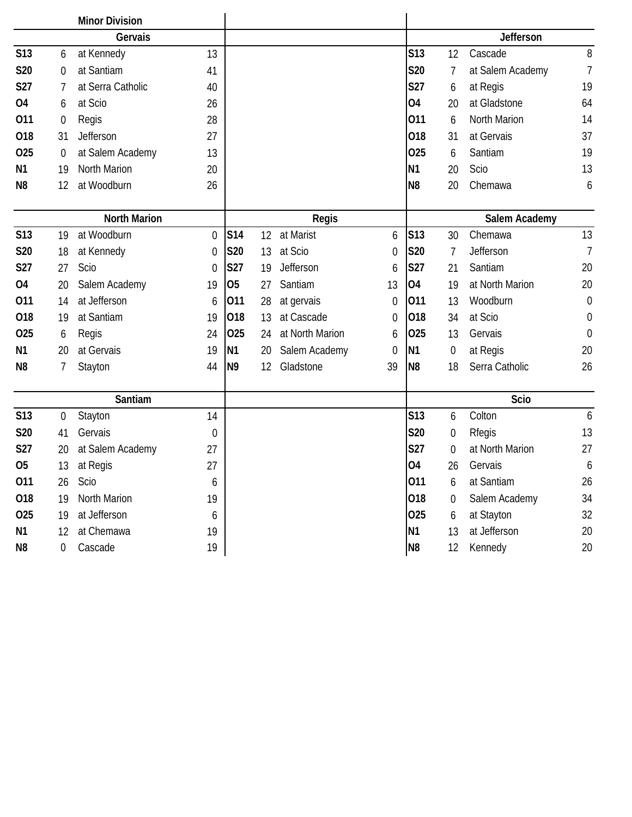|                     |                  | <b>Minor Division</b> |                |                |    |                    |                       |                |                  |                  |                  |  |
|---------------------|------------------|-----------------------|----------------|----------------|----|--------------------|-----------------------|----------------|------------------|------------------|------------------|--|
| Gervais             |                  |                       |                |                |    |                    |                       | Jefferson      |                  |                  |                  |  |
| <b>S13</b>          | 6                | at Kennedy            | 13             |                |    |                    |                       | <b>S13</b>     | 12               | Cascade          | 8                |  |
| <b>S20</b>          | $\mathbf 0$      | at Santiam            | 41             |                |    |                    |                       | <b>S20</b>     | 7                | at Salem Academy | $\overline{7}$   |  |
| <b>S27</b>          | 7                | at Serra Catholic     | 40             |                |    |                    |                       | <b>S27</b>     | 6                | at Regis         | 19               |  |
| <b>O4</b>           | 6                | at Scio               | 26             |                |    |                    |                       | 04             | 20               | at Gladstone     | 64               |  |
| 011                 | $\boldsymbol{0}$ | Regis                 | 28             |                |    |                    |                       | 011            | 6                | North Marion     | 14               |  |
| 018                 | 31               | Jefferson             | 27             |                |    |                    |                       | 018            | 31               | at Gervais       | 37               |  |
| 025                 | 0                | at Salem Academy      | 13             |                |    |                    |                       | 025            | 6                | Santiam          | 19               |  |
| N <sub>1</sub>      | 19               | North Marion          | 20             |                |    |                    |                       | N <sub>1</sub> | 20               | Scio             | 13               |  |
| N <sub>8</sub>      | 12               | at Woodburn           | 26             |                |    |                    |                       | N <sub>8</sub> | 20               | Chemawa          | 6                |  |
| <b>North Marion</b> |                  |                       |                |                |    |                    |                       | Salem Academy  |                  |                  |                  |  |
| <b>S13</b>          | 19               | at Woodburn           | $\theta$       | S14            | 12 | Regis<br>at Marist | 6                     | <b>S13</b>     | 30               | Chemawa          | 13               |  |
| <b>S20</b>          | 18               | at Kennedy            | 0              | S20            | 13 | at Scio            | 0                     | <b>S20</b>     | 7                | Jefferson        | $\overline{7}$   |  |
| S27                 | 27               | Scio                  | $\overline{0}$ | <b>S27</b>     | 19 | Jefferson          | 6                     | <b>S27</b>     | 21               | Santiam          | 20               |  |
| <b>O4</b>           | 20               | Salem Academy         | 19             | <b>O5</b>      | 27 | Santiam            | 13                    | <b>O4</b>      | 19               | at North Marion  | 20               |  |
| 011                 | 14               | at Jefferson          | 6              | 011            | 28 | at gervais         | $\boldsymbol{0}$      | 011            | 13               | Woodburn         | $\boldsymbol{0}$ |  |
| 018                 | 19               | at Santiam            | 19             | 018            | 13 | at Cascade         |                       | 018            | 34               | at Scio          | $\boldsymbol{0}$ |  |
| 025                 | 6                | Regis                 | 24             | 025            | 24 | at North Marion    | 0                     | 025            | 13               | Gervais          | $\boldsymbol{0}$ |  |
| N <sub>1</sub>      | 20               | at Gervais            | 19             | <b>N1</b>      | 20 | Salem Academy      | 6<br>$\boldsymbol{0}$ | N <sub>1</sub> | $\boldsymbol{0}$ | at Regis         | 20               |  |
| N <sub>8</sub>      | 7                | Stayton               | 44             | N <sub>9</sub> | 12 | Gladstone          | 39                    | N <sub>8</sub> | 18               | Serra Catholic   | 26               |  |
|                     |                  |                       |                |                |    |                    |                       |                |                  |                  |                  |  |
| Santiam             |                  |                       |                |                |    |                    |                       |                |                  | Scio             |                  |  |
| S <sub>13</sub>     | 0                | Stayton               | 14             |                |    |                    |                       | <b>S13</b>     | 6                | Colton           | 6                |  |
| <b>S20</b>          | 41               | Gervais               | $\mathbf 0$    |                |    |                    |                       | S20            | 0                | Rfegis           | 13               |  |
| S27                 | 20               | at Salem Academy      | 27             |                |    |                    |                       | <b>S27</b>     | 0                | at North Marion  | 27               |  |
| <b>O5</b>           | 13               | at Regis              | 27             |                |    |                    |                       | 04             | 26               | Gervais          | 6                |  |
| 011                 | 26               | Scio                  | 6              |                |    |                    |                       | 011            | 6                | at Santiam       | 26               |  |
| 018                 | 19               | North Marion          | 19             |                |    |                    |                       | 018            | 0                | Salem Academy    | 34               |  |
| 025                 | 19               | at Jefferson          | 6              |                |    |                    |                       | 025            | 6                | at Stayton       | 32               |  |
| N1                  | 12               | at Chemawa            | 19             |                |    |                    |                       | N <sub>1</sub> | 13               | at Jefferson     | 20               |  |
| N8                  | $\mathbf 0$      | Cascade               | 19             |                |    |                    |                       | N <sub>8</sub> | 12               | Kennedy          | 20               |  |